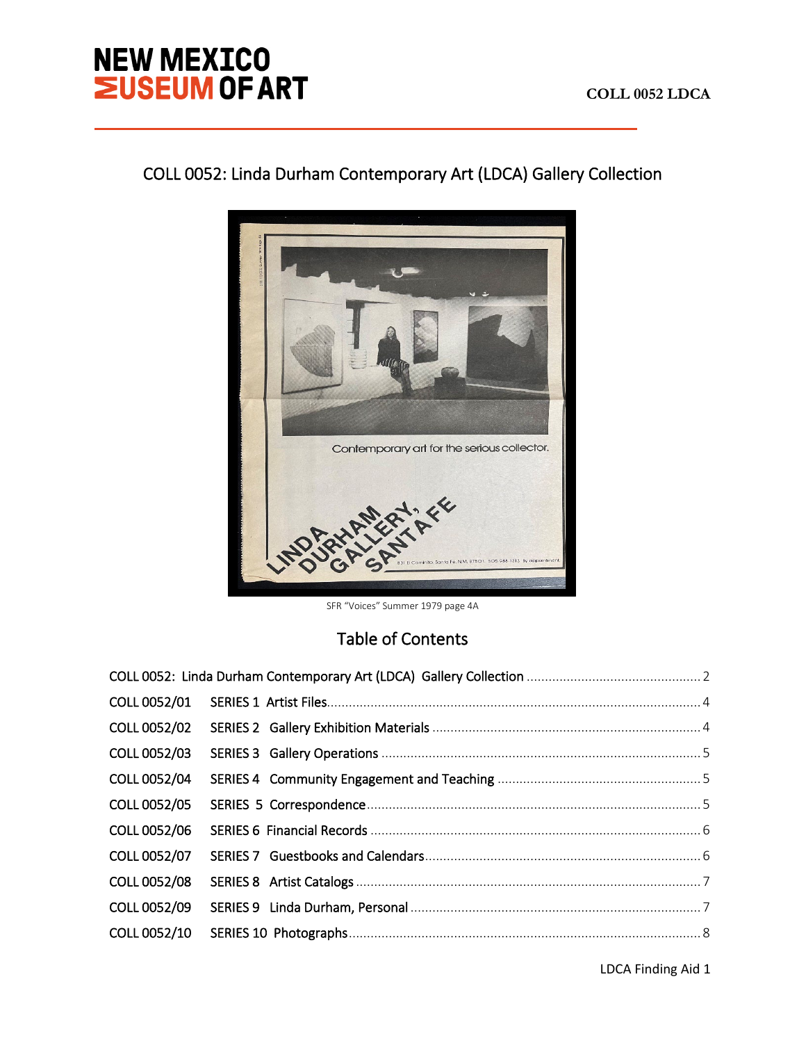# **NEW MEXICO<br>EUSEUM OF ART**

j

# COLL 0052: Linda Durham Contemporary Art (LDCA) Gallery Collection



SFR "Voices" Summer 1979 page 4A

# Table of Contents

| COLL 0052/01 |  |
|--------------|--|
| COLL 0052/02 |  |
| COLL 0052/03 |  |
| COLL 0052/04 |  |
| COLL 0052/05 |  |
| COLL 0052/06 |  |
| COLL 0052/07 |  |
| COLL 0052/08 |  |
| COLL 0052/09 |  |
| COLL 0052/10 |  |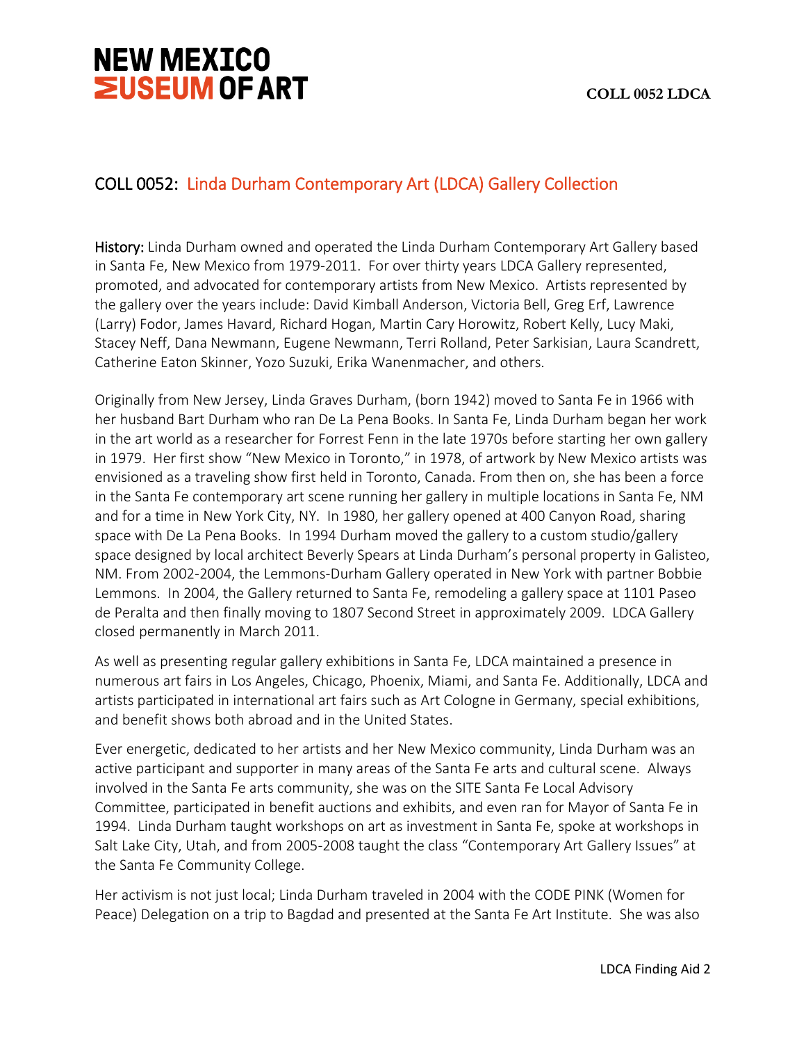# <span id="page-1-0"></span>COLL 0052: Linda Durham Contemporary Art (LDCA) Gallery Collection

History: Linda Durham owned and operated the Linda Durham Contemporary Art Gallery based in Santa Fe, New Mexico from 1979-2011. For over thirty years LDCA Gallery represented, promoted, and advocated for contemporary artists from New Mexico. Artists represented by the gallery over the years include: David Kimball Anderson, Victoria Bell, Greg Erf, Lawrence (Larry) Fodor, James Havard, Richard Hogan, Martin Cary Horowitz, Robert Kelly, Lucy Maki, Stacey Neff, Dana Newmann, Eugene Newmann, Terri Rolland, Peter Sarkisian, Laura Scandrett, Catherine Eaton Skinner, Yozo Suzuki, Erika Wanenmacher, and others.

Originally from New Jersey, Linda Graves Durham, (born 1942) moved to Santa Fe in 1966 with her husband Bart Durham who ran De La Pena Books. In Santa Fe, Linda Durham began her work in the art world as a researcher for Forrest Fenn in the late 1970s before starting her own gallery in 1979. Her first show "New Mexico in Toronto," in 1978, of artwork by New Mexico artists was envisioned as a traveling show first held in Toronto, Canada. From then on, she has been a force in the Santa Fe contemporary art scene running her gallery in multiple locations in Santa Fe, NM and for a time in New York City, NY. In 1980, her gallery opened at 400 Canyon Road, sharing space with De La Pena Books. In 1994 Durham moved the gallery to a custom studio/gallery space designed by local architect Beverly Spears at Linda Durham's personal property in Galisteo, NM. From 2002-2004, the Lemmons-Durham Gallery operated in New York with partner Bobbie Lemmons. In 2004, the Gallery returned to Santa Fe, remodeling a gallery space at 1101 Paseo de Peralta and then finally moving to 1807 Second Street in approximately 2009. LDCA Gallery closed permanently in March 2011.

As well as presenting regular gallery exhibitions in Santa Fe, LDCA maintained a presence in numerous art fairs in Los Angeles, Chicago, Phoenix, Miami, and Santa Fe. Additionally, LDCA and artists participated in international art fairs such as Art Cologne in Germany, special exhibitions, and benefit shows both abroad and in the United States.

Ever energetic, dedicated to her artists and her New Mexico community, Linda Durham was an active participant and supporter in many areas of the Santa Fe arts and cultural scene. Always involved in the Santa Fe arts community, she was on the SITE Santa Fe Local Advisory Committee, participated in benefit auctions and exhibits, and even ran for Mayor of Santa Fe in 1994. Linda Durham taught workshops on art as investment in Santa Fe, spoke at workshops in Salt Lake City, Utah, and from 2005-2008 taught the class "Contemporary Art Gallery Issues" at the Santa Fe Community College.

Her activism is not just local; Linda Durham traveled in 2004 with the CODE PINK (Women for Peace) Delegation on a trip to Bagdad and presented at the Santa Fe Art Institute. She was also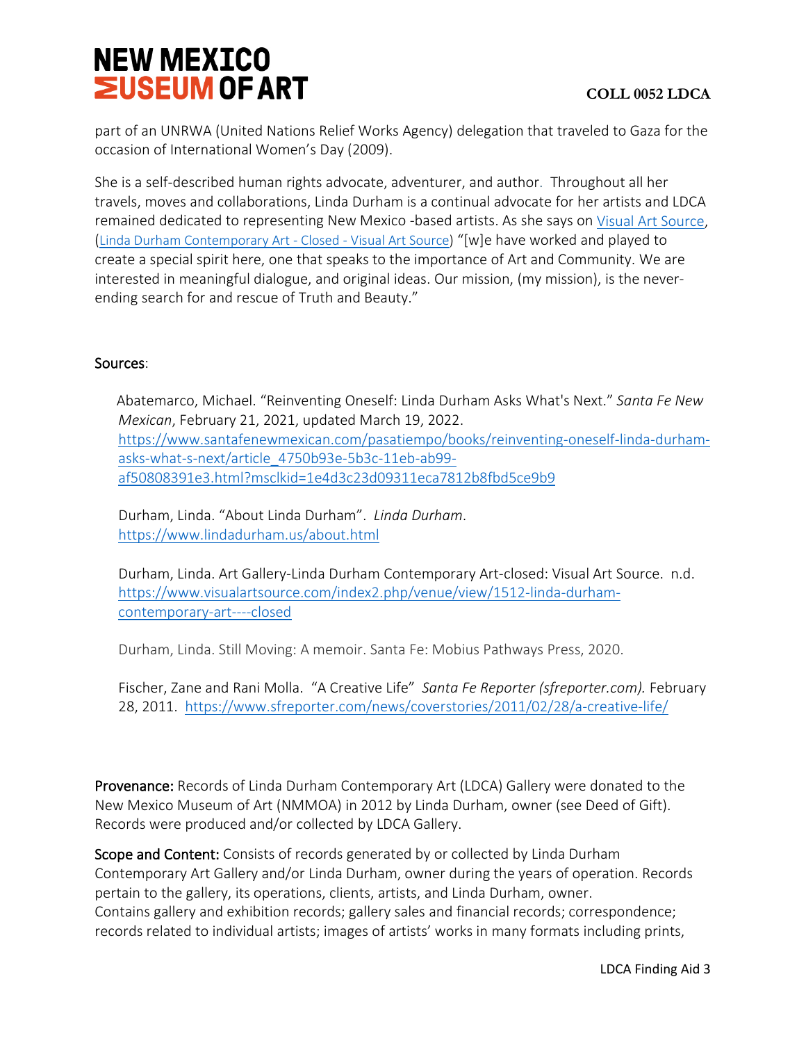part of an UNRWA (United Nations Relief Works Agency) delegation that traveled to Gaza for the occasion of International Women's Day (2009).

She is a self-described human rights advocate, adventurer, and author. Throughout all her travels, moves and collaborations, Linda Durham is a continual advocate for her artists and LDCA remained dedicated to representing New Mexico -based artists. As she says on [Visual Art Source,](https://www.visualartsource.com/index2.php/venue/view/1512-linda-durham-contemporary-art----closed) [\(Linda Durham Contemporary Art - Closed - Visual Art Source\)](https://www.visualartsource.com/index2.php/venue/view/1512-linda-durham-contemporary-art----closed) "[w]e have worked and played to create a special spirit here, one that speaks to the importance of Art and Community. We are interested in meaningful dialogue, and original ideas. Our mission, (my mission), is the neverending search for and rescue of Truth and Beauty."

# Sources:

Abatemarco, Michael. "Reinventing Oneself: Linda Durham Asks What's Next." *Santa Fe New Mexican*, February 21, 2021, updated March 19, 2022. [https://www.santafenewmexican.com/pasatiempo/books/reinventing-oneself-linda-durham](https://www.santafenewmexican.com/pasatiempo/books/reinventing-oneself-linda-durham-asks-what-s-next/article_4750b93e-5b3c-11eb-ab99-af50808391e3.html?msclkid=1e4d3c23d09311eca7812b8fbd5ce9b9)[asks-what-s-next/article\\_4750b93e-5b3c-11eb-ab99](https://www.santafenewmexican.com/pasatiempo/books/reinventing-oneself-linda-durham-asks-what-s-next/article_4750b93e-5b3c-11eb-ab99-af50808391e3.html?msclkid=1e4d3c23d09311eca7812b8fbd5ce9b9) [af50808391e3.html?msclkid=1e4d3c23d09311eca7812b8fbd5ce9b9](https://www.santafenewmexican.com/pasatiempo/books/reinventing-oneself-linda-durham-asks-what-s-next/article_4750b93e-5b3c-11eb-ab99-af50808391e3.html?msclkid=1e4d3c23d09311eca7812b8fbd5ce9b9)

Durham, Linda. "About Linda Durham". *Linda Durham*. <https://www.lindadurham.us/about.html>

Durham, Linda. Art Gallery-Linda Durham Contemporary Art-closed: Visual Art Source. n.d. [https://www.visualartsource.com/index2.php/venue/view/1512-linda-durham](https://www.visualartsource.com/index2.php/venue/view/1512-linda-durham-contemporary-art----closed)[contemporary-art----closed](https://www.visualartsource.com/index2.php/venue/view/1512-linda-durham-contemporary-art----closed)

Durham, Linda. Still Moving: A memoir. Santa Fe: Mobius Pathways Press, 2020.

Fischer, Zane and Rani Molla. "A Creative Life" *Santa Fe Reporter (sfreporter.com).* February 28, 2011. <https://www.sfreporter.com/news/coverstories/2011/02/28/a-creative-life/>

Provenance: Records of Linda Durham Contemporary Art (LDCA) Gallery were donated to the New Mexico Museum of Art (NMMOA) in 2012 by Linda Durham, owner (see Deed of Gift). Records were produced and/or collected by LDCA Gallery.

Scope and Content: Consists of records generated by or collected by Linda Durham Contemporary Art Gallery and/or Linda Durham, owner during the years of operation. Records pertain to the gallery, its operations, clients, artists, and Linda Durham, owner. Contains gallery and exhibition records; gallery sales and financial records; correspondence; records related to individual artists; images of artists' works in many formats including prints,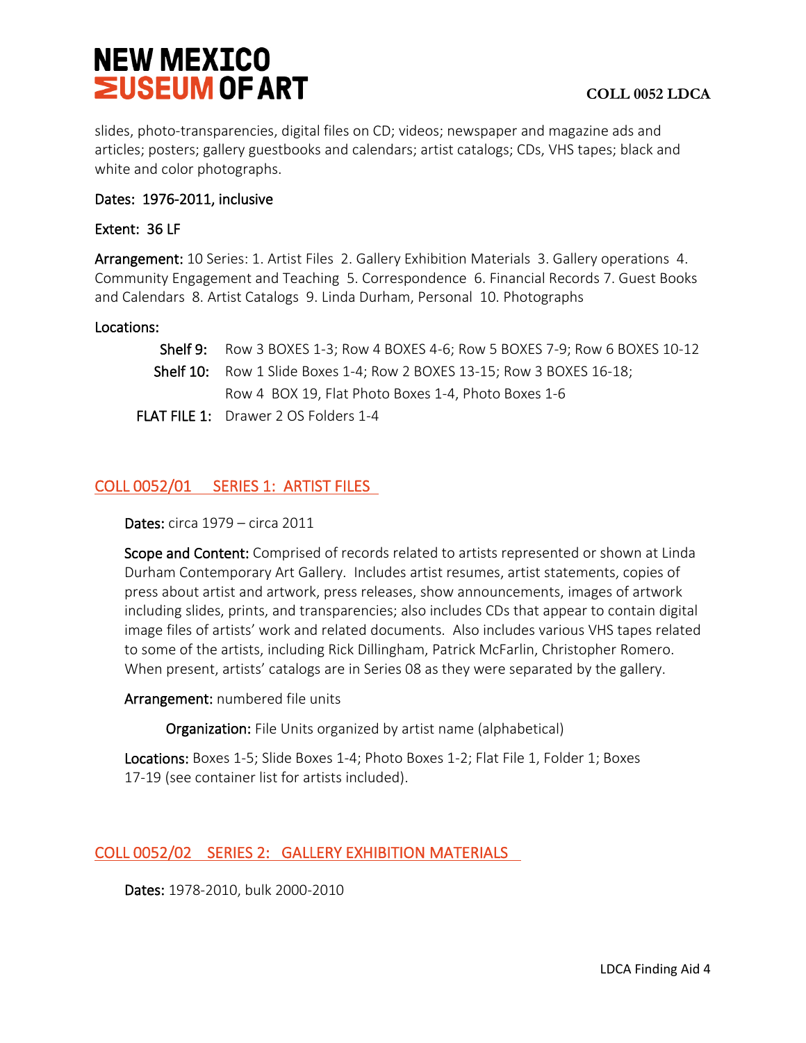slides, photo-transparencies, digital files on CD; videos; newspaper and magazine ads and articles; posters; gallery guestbooks and calendars; artist catalogs; CDs, VHS tapes; black and white and color photographs.

# Dates: 1976-2011, inclusive

# Extent: 36 LF

Arrangement: 10 Series: 1. Artist Files 2. Gallery Exhibition Materials 3. Gallery operations 4. Community Engagement and Teaching 5. Correspondence 6. Financial Records 7. Guest Books and Calendars 8. Artist Catalogs 9. Linda Durham, Personal 10. Photographs

# Locations:

| <b>Shelf 9:</b> Row 3 BOXES 1-3; Row 4 BOXES 4-6; Row 5 BOXES 7-9; Row 6 BOXES 10-12 |
|--------------------------------------------------------------------------------------|
| Shelf 10: Row 1 Slide Boxes 1-4; Row 2 BOXES 13-15; Row 3 BOXES 16-18;               |
| Row 4 BOX 19, Flat Photo Boxes 1-4, Photo Boxes 1-6                                  |
|                                                                                      |

FLAT FILE 1: Drawer 2 OS Folders 1-4

# <span id="page-3-0"></span>COLL 0052/01 SERIES 1: ARTIST FILES

Dates: circa 1979 – circa 2011

Scope and Content: Comprised of records related to artists represented or shown at Linda Durham Contemporary Art Gallery. Includes artist resumes, artist statements, copies of press about artist and artwork, press releases, show announcements, images of artwork including slides, prints, and transparencies; also includes CDs that appear to contain digital image files of artists' work and related documents. Also includes various VHS tapes related to some of the artists, including Rick Dillingham, Patrick McFarlin, Christopher Romero. When present, artists' catalogs are in Series 08 as they were separated by the gallery.

Arrangement: numbered file units

Organization: File Units organized by artist name (alphabetical)

Locations: Boxes 1-5; Slide Boxes 1-4; Photo Boxes 1-2; Flat File 1, Folder 1; Boxes 17-19 (see container list for artists included).

# <span id="page-3-1"></span>COLL 0052/02 SERIES 2: GALLERY EXHIBITION MATERIALS

Dates: 1978-2010, bulk 2000-2010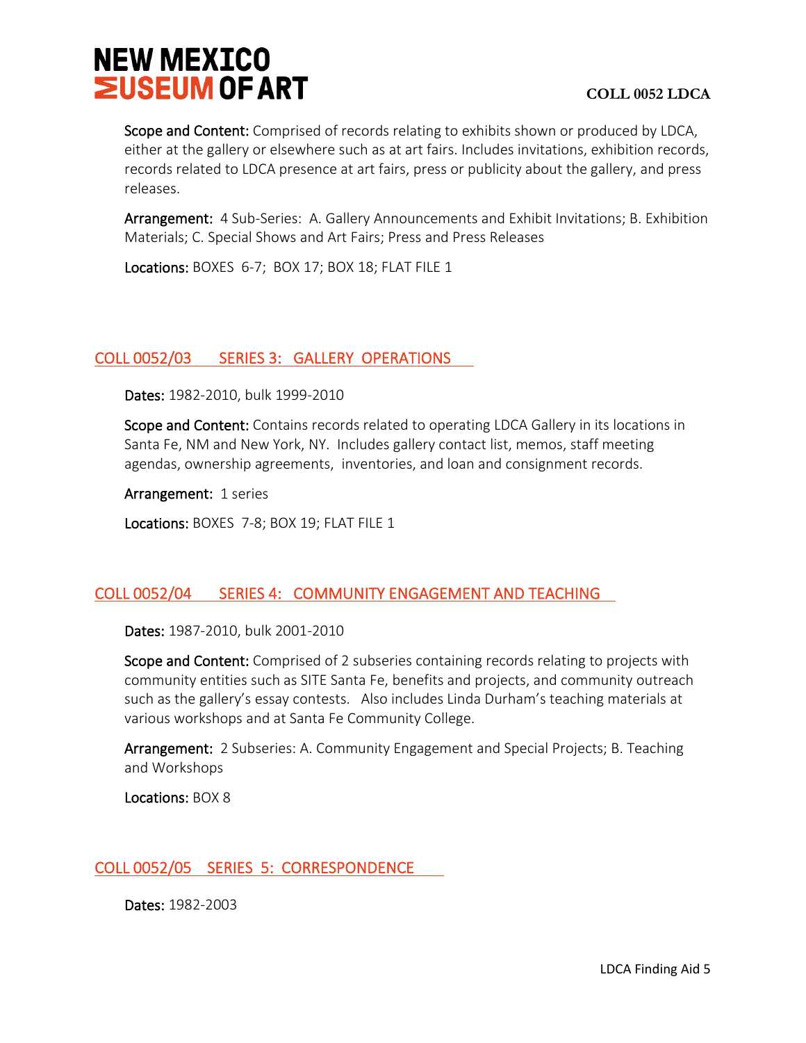

Scope and Content: Comprised of records relating to exhibits shown or produced by LDCA, either at the gallery or elsewhere such as at art fairs. Includes invitations, exhibition records, records related to LDCA presence at art fairs, press or publicity about the gallery, and press releases.

Arrangement: 4 Sub-Series: A. Gallery Announcements and Exhibit Invitations; B. Exhibition Materials; C. Special Shows and Art Fairs; Press and Press Releases

Locations: BOXES 6-7; BOX 17; BOX 18; FLAT FILE 1

### <span id="page-4-0"></span>COLL 0052/03 SERIES 3: GALLERY OPERATIONS

Dates: 1982-2010, bulk 1999-2010

Scope and Content: Contains records related to operating LDCA Gallery in its locations in Santa Fe, NM and New York, NY. Includes gallery contact list, memos, staff meeting agendas, ownership agreements, inventories, and loan and consignment records.

Arrangement: 1 series

Locations: BOXES 7-8; BOX 19; FLAT FILE 1

### <span id="page-4-1"></span>COLL 0052/04 SERIES 4: COMMUNITY ENGAGEMENT AND TEACHING

Dates: 1987-2010, bulk 2001-2010

Scope and Content: Comprised of 2 subseries containing records relating to projects with community entities such as SITE Santa Fe, benefits and projects, and community outreach such as the gallery's essay contests. Also includes Linda Durham's teaching materials at various workshops and at Santa Fe Community College.

Arrangement: 2 Subseries: A. Community Engagement and Special Projects; B. Teaching and Workshops

Locations: BOX 8

#### <span id="page-4-2"></span>COLL 0052/05 SERIES 5: CORRESPONDENCE

Dates: 1982-2003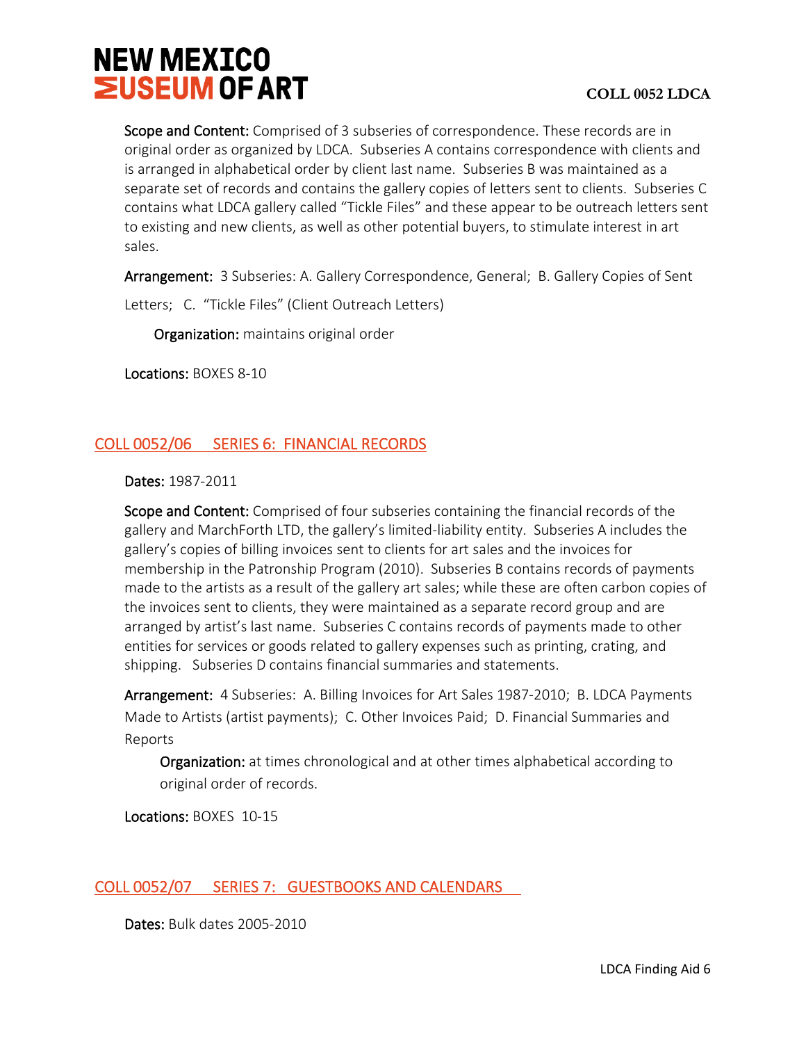Scope and Content: Comprised of 3 subseries of correspondence. These records are in original order as organized by LDCA. Subseries A contains correspondence with clients and is arranged in alphabetical order by client last name. Subseries B was maintained as a separate set of records and contains the gallery copies of letters sent to clients. Subseries C contains what LDCA gallery called "Tickle Files" and these appear to be outreach letters sent to existing and new clients, as well as other potential buyers, to stimulate interest in art sales.

Arrangement: 3 Subseries: A. Gallery Correspondence, General; B. Gallery Copies of Sent

Letters; C. "Tickle Files" (Client Outreach Letters)

Organization: maintains original order

Locations: BOXES 8-10

# <span id="page-5-0"></span>COLL 0052/06 SERIES 6: FINANCIAL RECORDS

Dates: 1987-2011

Scope and Content: Comprised of four subseries containing the financial records of the gallery and MarchForth LTD, the gallery's limited-liability entity. Subseries A includes the gallery's copies of billing invoices sent to clients for art sales and the invoices for membership in the Patronship Program (2010). Subseries B contains records of payments made to the artists as a result of the gallery art sales; while these are often carbon copies of the invoices sent to clients, they were maintained as a separate record group and are arranged by artist's last name. Subseries C contains records of payments made to other entities for services or goods related to gallery expenses such as printing, crating, and shipping. Subseries D contains financial summaries and statements.

Arrangement: 4 Subseries: A. Billing Invoices for Art Sales 1987-2010; B. LDCA Payments Made to Artists (artist payments); C. Other Invoices Paid; D. Financial Summaries and Reports

 Organization: at times chronological and at other times alphabetical according to original order of records.

Locations: BOXES 10-15

# <span id="page-5-1"></span>COLL 0052/07 SERIES 7: GUESTBOOKS AND CALENDARS

Dates: Bulk dates 2005-2010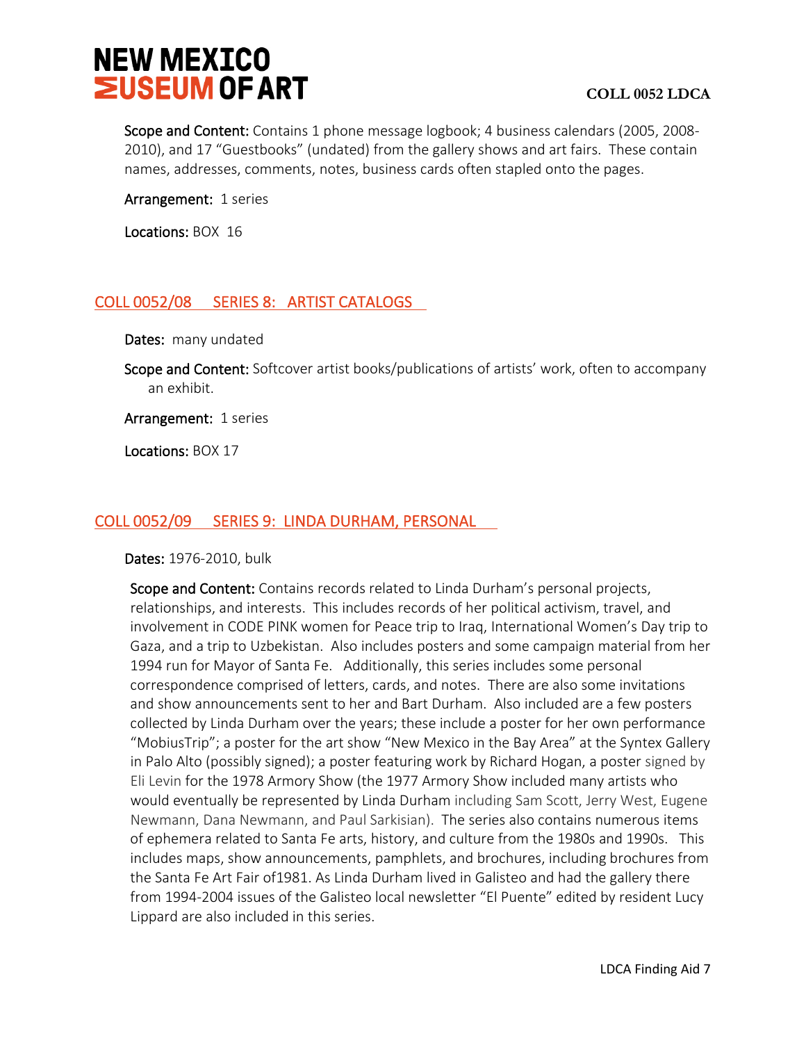Scope and Content: Contains 1 phone message logbook; 4 business calendars (2005, 2008-2010), and 17 "Guestbooks" (undated) from the gallery shows and art fairs. These contain names, addresses, comments, notes, business cards often stapled onto the pages.

Arrangement: 1 series

Locations: BOX 16

# <span id="page-6-0"></span>COLL 0052/08 SERIES 8: ARTIST CATALOGS

Dates: many undated

Scope and Content: Softcover artist books/publications of artists' work, often to accompany an exhibit.

Arrangement: 1 series

Locations: BOX 17

# <span id="page-6-1"></span>COLL 0052/09 SERIES 9: LINDA DURHAM, PERSONAL

Dates: 1976-2010, bulk

Scope and Content: Contains records related to Linda Durham's personal projects, relationships, and interests. This includes records of her political activism, travel, and involvement in CODE PINK women for Peace trip to Iraq, International Women's Day trip to Gaza, and a trip to Uzbekistan. Also includes posters and some campaign material from her 1994 run for Mayor of Santa Fe. Additionally, this series includes some personal correspondence comprised of letters, cards, and notes. There are also some invitations and show announcements sent to her and Bart Durham. Also included are a few posters collected by Linda Durham over the years; these include a poster for her own performance "MobiusTrip"; a poster for the art show "New Mexico in the Bay Area" at the Syntex Gallery in Palo Alto (possibly signed); a poster featuring work by Richard Hogan, a poster signed by Eli Levin for the 1978 Armory Show (the 1977 Armory Show included many artists who would eventually be represented by Linda Durham including Sam Scott, Jerry West, Eugene Newmann, Dana Newmann, and Paul Sarkisian). The series also contains numerous items of ephemera related to Santa Fe arts, history, and culture from the 1980s and 1990s. This includes maps, show announcements, pamphlets, and brochures, including brochures from the Santa Fe Art Fair of1981. As Linda Durham lived in Galisteo and had the gallery there from 1994-2004 issues of the Galisteo local newsletter "El Puente" edited by resident Lucy Lippard are also included in this series.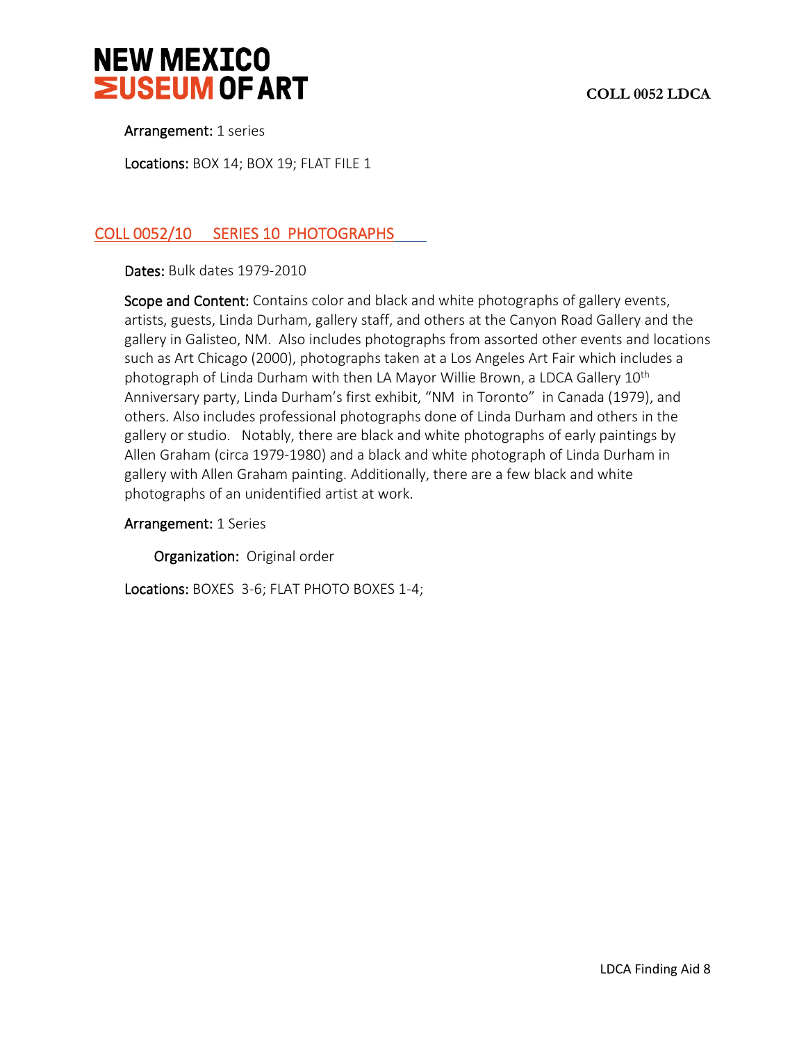



Arrangement: 1 series

Locations: BOX 14; BOX 19; FLAT FILE 1

# <span id="page-7-0"></span>COLL 0052/10 SERIES 10 PHOTOGRAPHS

Dates: Bulk dates 1979-2010

Scope and Content: Contains color and black and white photographs of gallery events, artists, guests, Linda Durham, gallery staff, and others at the Canyon Road Gallery and the gallery in Galisteo, NM. Also includes photographs from assorted other events and locations such as Art Chicago (2000), photographs taken at a Los Angeles Art Fair which includes a photograph of Linda Durham with then LA Mayor Willie Brown, a LDCA Gallery 10<sup>th</sup> Anniversary party, Linda Durham's first exhibit, "NM in Toronto" in Canada (1979), and others. Also includes professional photographs done of Linda Durham and others in the gallery or studio. Notably, there are black and white photographs of early paintings by Allen Graham (circa 1979-1980) and a black and white photograph of Linda Durham in gallery with Allen Graham painting. Additionally, there are a few black and white photographs of an unidentified artist at work.

#### Arrangement: 1 Series

Organization: Original order

Locations: BOXES 3-6; FLAT PHOTO BOXES 1-4;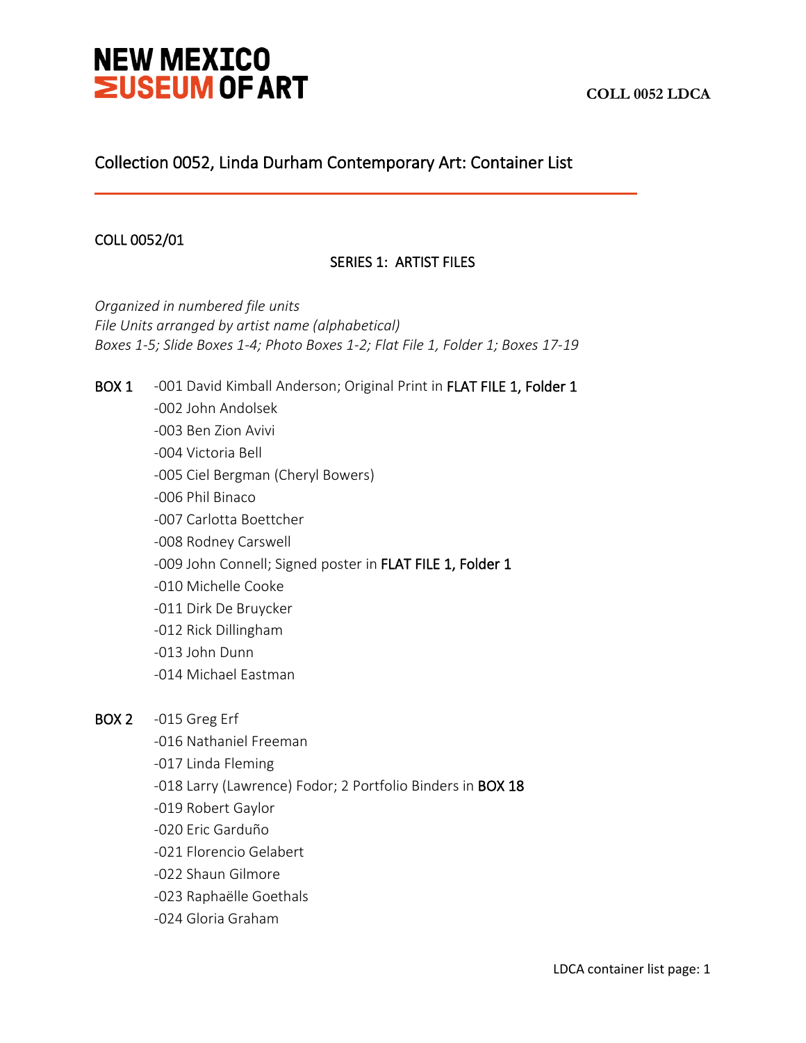# Collection 0052, Linda Durham Contemporary Art: Container List

# COLL 0052/01

j

# SERIES 1: ARTIST FILES

*Organized in numbered file units File Units arranged by artist name (alphabetical) Boxes 1-5; Slide Boxes 1-4; Photo Boxes 1-2; Flat File 1, Folder 1; Boxes 17-19*

BOX 1 -001 David Kimball Anderson; Original Print in FLAT FILE 1, Folder 1 -002 John Andolsek -003 Ben Zion Avivi -004 Victoria Bell -005 Ciel Bergman (Cheryl Bowers) -006 Phil Binaco -007 Carlotta Boettcher -008 Rodney Carswell -009 John Connell; Signed poster in FLAT FILE 1, Folder 1 -010 Michelle Cooke -011 Dirk De Bruycker -012 Rick Dillingham -013 John Dunn -014 Michael Eastman BOX 2 -015 Greg Erf -016 Nathaniel Freeman -017 Linda Fleming -018 Larry (Lawrence) Fodor; 2 Portfolio Binders in BOX 18 -019 Robert Gaylor

- -020 Eric Garduño
- -021 Florencio Gelabert
- -022 Shaun Gilmore
- -023 Raphaëlle Goethals
- -024 Gloria Graham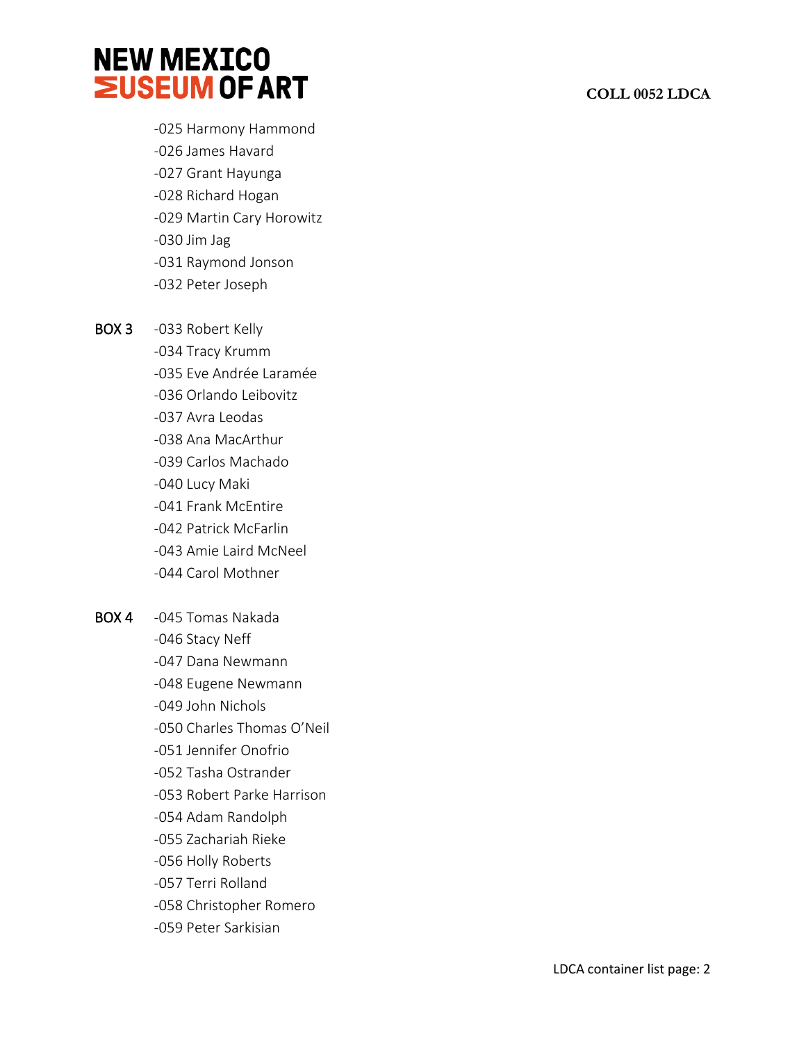# **COLL 0052 LDCA**

- -025 Harmony Hammond -026 James Havard
- -027 Grant Hayunga
- -028 Richard Hogan
- -029 Martin Cary Horowitz
- -030 Jim Jag
- -031 Raymond Jonson
- -032 Peter Joseph

BOX 3 -033 Robert Kelly

- -034 Tracy Krumm
- -035 Eve Andrée Laramée
- -036 Orlando Leibovitz
- -037 Avra Leodas
- -038 Ana MacArthur
- -039 Carlos Machado
- -040 Lucy Maki
- -041 Frank McEntire
- -042 Patrick McFarlin
- -043 Amie Laird McNeel
- -044 Carol Mothner
- BOX 4 -045 Tomas Nakada
	- -046 Stacy Neff
	- -047 Dana Newmann
	- -048 Eugene Newmann
	- -049 John Nichols
	- -050 Charles Thomas O'Neil
	- -051 Jennifer Onofrio
	- -052 Tasha Ostrander
	- -053 Robert Parke Harrison
	- -054 Adam Randolph
	- -055 Zachariah Rieke
	- -056 Holly Roberts
	- -057 Terri Rolland
	- -058 Christopher Romero
	- -059 Peter Sarkisian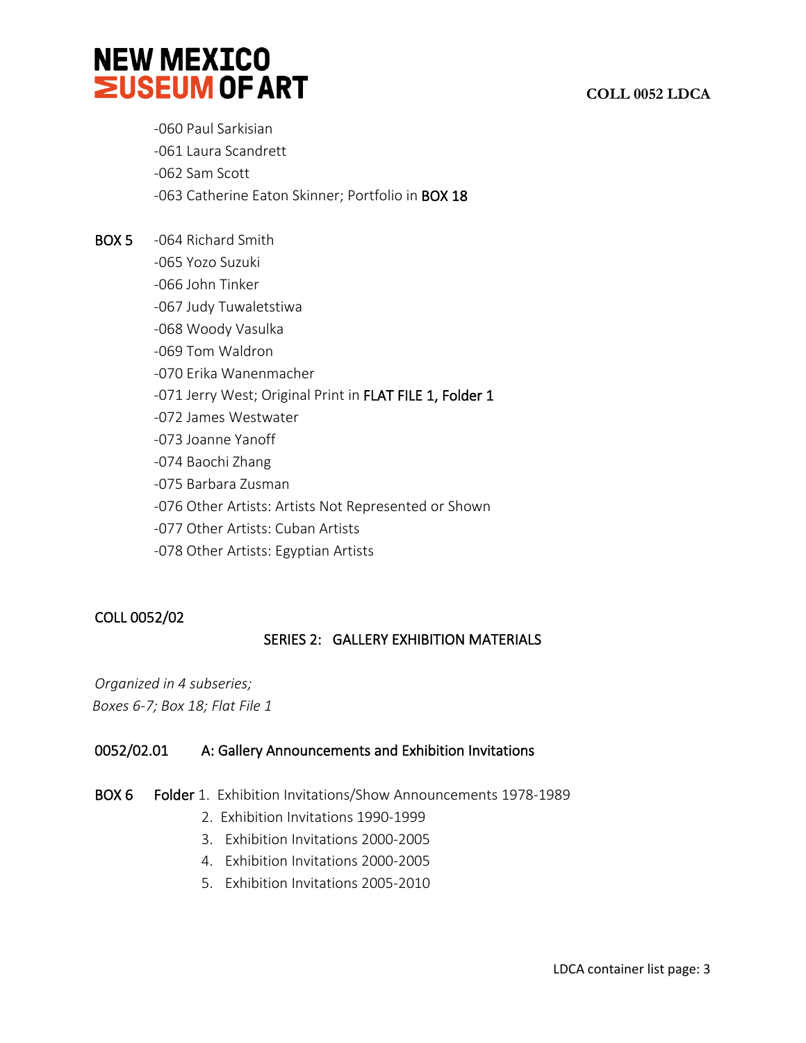

- -060 Paul Sarkisian
- -061 Laura Scandrett
- -062 Sam Scott
- -063 Catherine Eaton Skinner; Portfolio in BOX 18
- BOX 5 -064 Richard Smith
	- -065 Yozo Suzuki
	- -066 John Tinker
	- -067 Judy Tuwaletstiwa
	- -068 Woody Vasulka
	- -069 Tom Waldron
	- -070 Erika Wanenmacher
	- -071 Jerry West; Original Print in FLAT FILE 1, Folder 1
	- -072 James Westwater
	- -073 Joanne Yanoff
	- -074 Baochi Zhang
	- -075 Barbara Zusman
	- -076 Other Artists: Artists Not Represented or Shown
	- -077 Other Artists: Cuban Artists
	- -078 Other Artists: Egyptian Artists

# COLL 0052/02

# SERIES 2: GALLERY EXHIBITION MATERIALS

*Organized in 4 subseries; Boxes 6-7; Box 18; Flat File 1*

# 0052/02.01 A: Gallery Announcements and Exhibition Invitations

- BOX 6 Folder 1. Exhibition Invitations/Show Announcements 1978-1989
	- 2. Exhibition Invitations 1990-1999
	- 3. Exhibition Invitations 2000-2005
	- 4. Exhibition Invitations 2000-2005
	- 5. Exhibition Invitations 2005-2010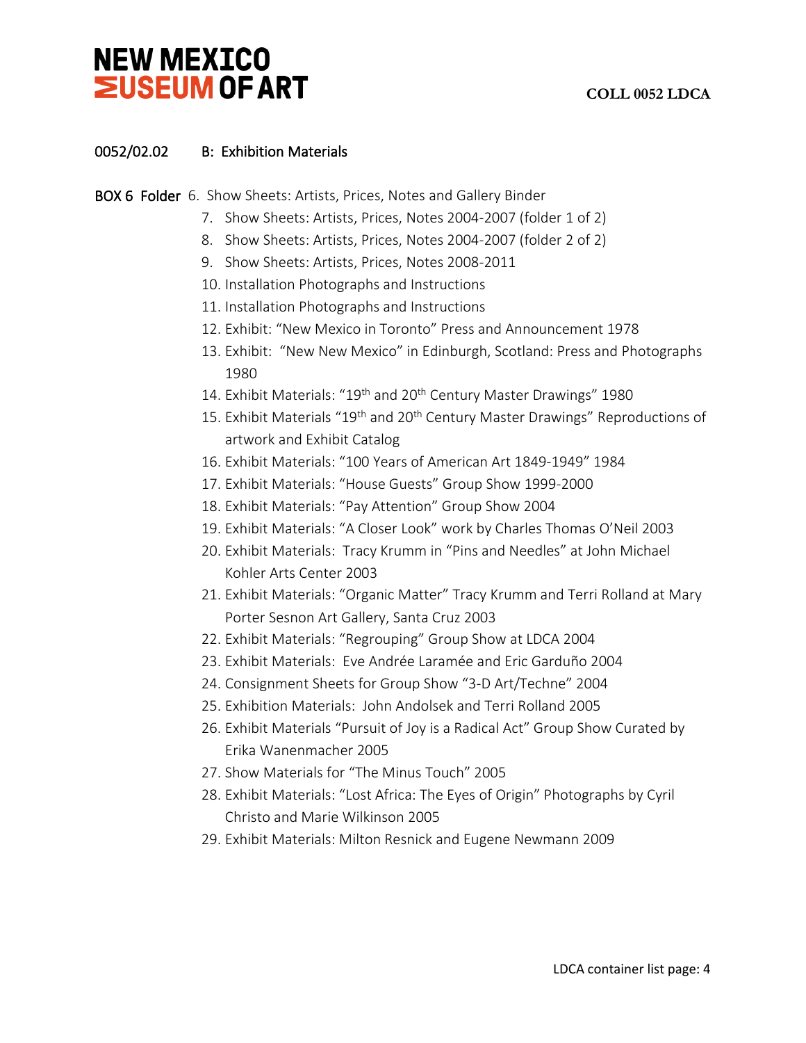# **COLL 0052 LDCA**

# 0052/02.02 B: Exhibition Materials

BOX 6 Folder 6. Show Sheets: Artists, Prices, Notes and Gallery Binder

- 7. Show Sheets: Artists, Prices, Notes 2004-2007 (folder 1 of 2)
- 8. Show Sheets: Artists, Prices, Notes 2004-2007 (folder 2 of 2)
- 9. Show Sheets: Artists, Prices, Notes 2008-2011
- 10. Installation Photographs and Instructions
- 11. Installation Photographs and Instructions
- 12. Exhibit: "New Mexico in Toronto" Press and Announcement 1978
- 13. Exhibit: "New New Mexico" in Edinburgh, Scotland: Press and Photographs 1980
- 14. Exhibit Materials: "19<sup>th</sup> and 20<sup>th</sup> Century Master Drawings" 1980
- 15. Exhibit Materials "19<sup>th</sup> and 20<sup>th</sup> Century Master Drawings" Reproductions of artwork and Exhibit Catalog
- 16. Exhibit Materials: "100 Years of American Art 1849-1949" 1984
- 17. Exhibit Materials: "House Guests" Group Show 1999-2000
- 18. Exhibit Materials: "Pay Attention" Group Show 2004
- 19. Exhibit Materials: "A Closer Look" work by Charles Thomas O'Neil 2003
- 20. Exhibit Materials: Tracy Krumm in "Pins and Needles" at John Michael Kohler Arts Center 2003
- 21. Exhibit Materials: "Organic Matter" Tracy Krumm and Terri Rolland at Mary Porter Sesnon Art Gallery, Santa Cruz 2003
- 22. Exhibit Materials: "Regrouping" Group Show at LDCA 2004
- 23. Exhibit Materials: Eve Andrée Laramée and Eric Garduño 2004
- 24. Consignment Sheets for Group Show "3-D Art/Techne" 2004
- 25. Exhibition Materials: John Andolsek and Terri Rolland 2005
- 26. Exhibit Materials "Pursuit of Joy is a Radical Act" Group Show Curated by Erika Wanenmacher 2005
- 27. Show Materials for "The Minus Touch" 2005
- 28. Exhibit Materials: "Lost Africa: The Eyes of Origin" Photographs by Cyril Christo and Marie Wilkinson 2005
- 29. Exhibit Materials: Milton Resnick and Eugene Newmann 2009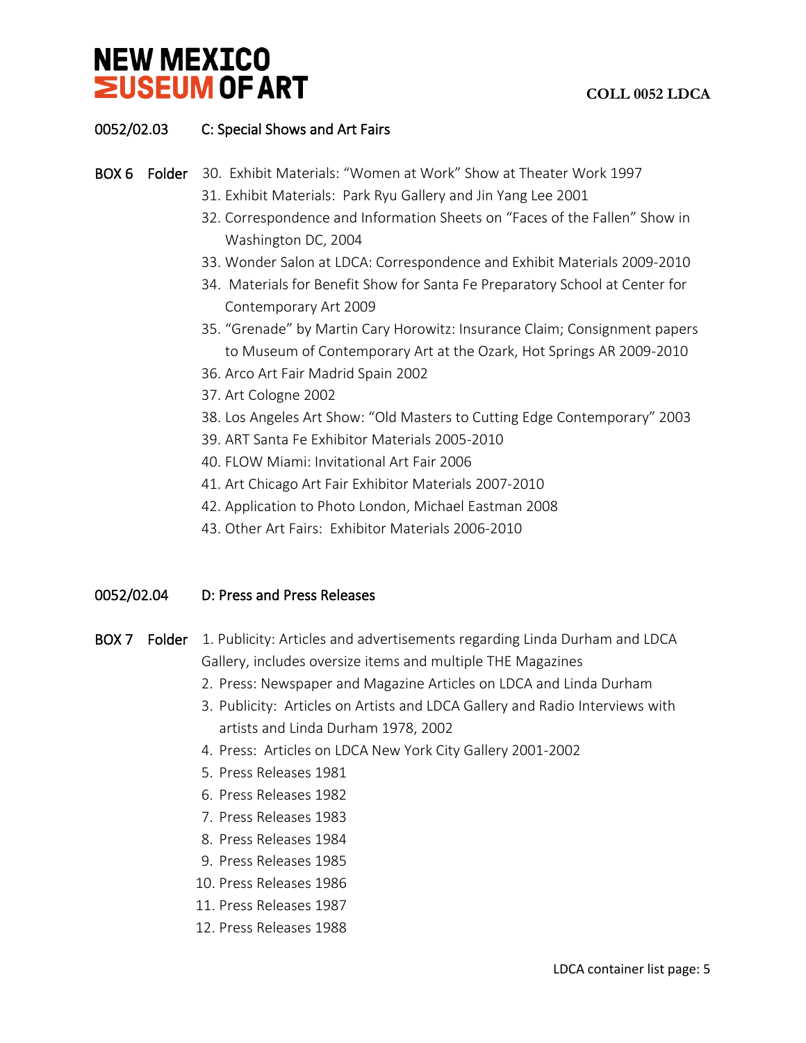

# 0052/02.03 C: Special Shows and Art Fairs

### BOX 6 Folder 30. Exhibit Materials: "Women at Work" Show at Theater Work 1997

- 31. Exhibit Materials: Park Ryu Gallery and Jin Yang Lee 2001
- 32. Correspondence and Information Sheets on "Faces of the Fallen" Show in Washington DC, 2004
- 33. Wonder Salon at LDCA: Correspondence and Exhibit Materials 2009-2010
- 34. Materials for Benefit Show for Santa Fe Preparatory School at Center for Contemporary Art 2009
- 35. "Grenade" by Martin Cary Horowitz: Insurance Claim; Consignment papers to Museum of Contemporary Art at the Ozark, Hot Springs AR 2009-2010
- 36. Arco Art Fair Madrid Spain 2002
- 37. Art Cologne 2002
- 38. Los Angeles Art Show: "Old Masters to Cutting Edge Contemporary" 2003
- 39. ART Santa Fe Exhibitor Materials 2005-2010
- 40. FLOW Miami: Invitational Art Fair 2006
- 41. Art Chicago Art Fair Exhibitor Materials 2007-2010
- 42. Application to Photo London, Michael Eastman 2008
- 43. Other Art Fairs: Exhibitor Materials 2006-2010

#### 0052/02.04 D: Press and Press Releases

- BOX 7 Folder 1. Publicity: Articles and advertisements regarding Linda Durham and LDCA Gallery, includes oversize items and multiple THE Magazines
	- 2. Press: Newspaper and Magazine Articles on LDCA and Linda Durham
	- 3. Publicity: Articles on Artists and LDCA Gallery and Radio Interviews with artists and Linda Durham 1978, 2002
	- 4. Press: Articles on LDCA New York City Gallery 2001-2002
	- 5. Press Releases 1981
	- 6. Press Releases 1982
	- 7. Press Releases 1983
	- 8. Press Releases 1984
	- 9. Press Releases 1985
	- 10. Press Releases 1986
	- 11. Press Releases 1987
	- 12. Press Releases 1988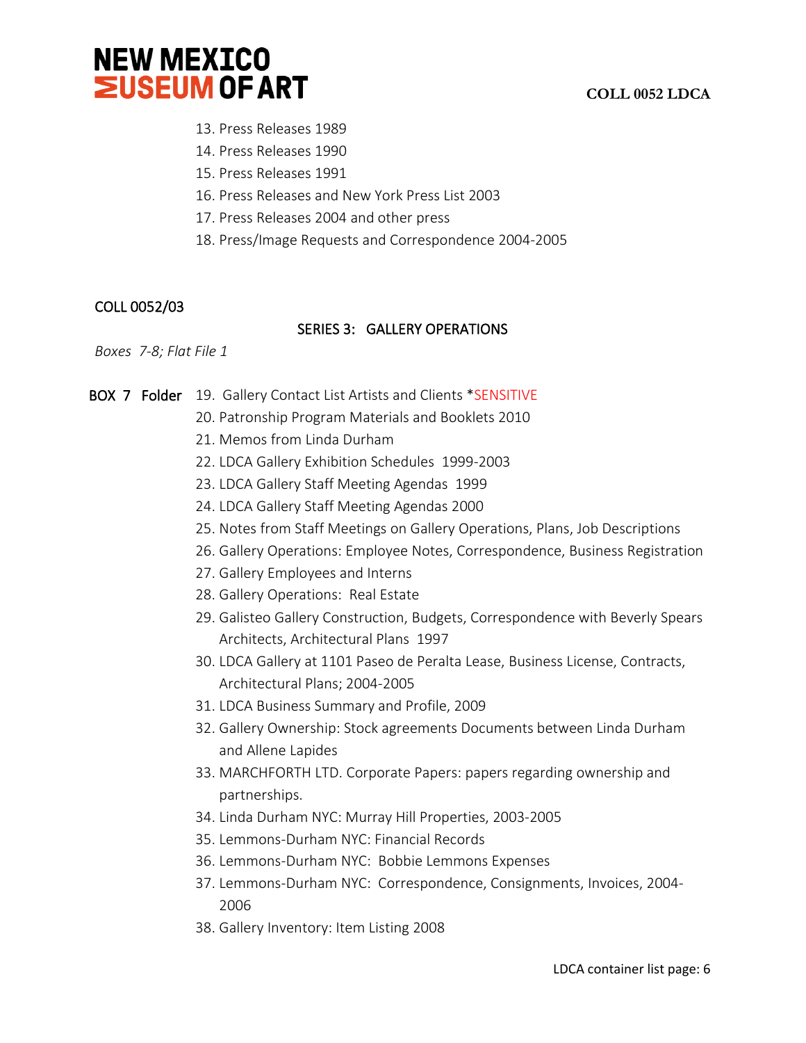

- 13. Press Releases 1989
- 14. Press Releases 1990
- 15. Press Releases 1991
- 16. Press Releases and New York Press List 2003
- 17. Press Releases 2004 and other press
- 18. Press/Image Requests and Correspondence 2004-2005

#### COLL 0052/03

#### SERIES 3: GALLERY OPERATIONS

*Boxes 7-8; Flat File 1*

BOX 7 Folder 19. Gallery Contact List Artists and Clients \*SENSITIVE

- 20. Patronship Program Materials and Booklets 2010
- 21. Memos from Linda Durham
- 22. LDCA Gallery Exhibition Schedules 1999-2003
- 23. LDCA Gallery Staff Meeting Agendas 1999
- 24. LDCA Gallery Staff Meeting Agendas 2000
- 25. Notes from Staff Meetings on Gallery Operations, Plans, Job Descriptions
- 26. Gallery Operations: Employee Notes, Correspondence, Business Registration
- 27. Gallery Employees and Interns
- 28. Gallery Operations: Real Estate
- 29. Galisteo Gallery Construction, Budgets, Correspondence with Beverly Spears Architects, Architectural Plans 1997
- 30. LDCA Gallery at 1101 Paseo de Peralta Lease, Business License, Contracts, Architectural Plans; 2004-2005
- 31. LDCA Business Summary and Profile, 2009
- 32. Gallery Ownership: Stock agreements Documents between Linda Durham and Allene Lapides
- 33. MARCHFORTH LTD. Corporate Papers: papers regarding ownership and partnerships.
- 34. Linda Durham NYC: Murray Hill Properties, 2003-2005
- 35. Lemmons-Durham NYC: Financial Records
- 36. Lemmons-Durham NYC: Bobbie Lemmons Expenses
- 37. Lemmons-Durham NYC: Correspondence, Consignments, Invoices, 2004- 2006
- 38. Gallery Inventory: Item Listing 2008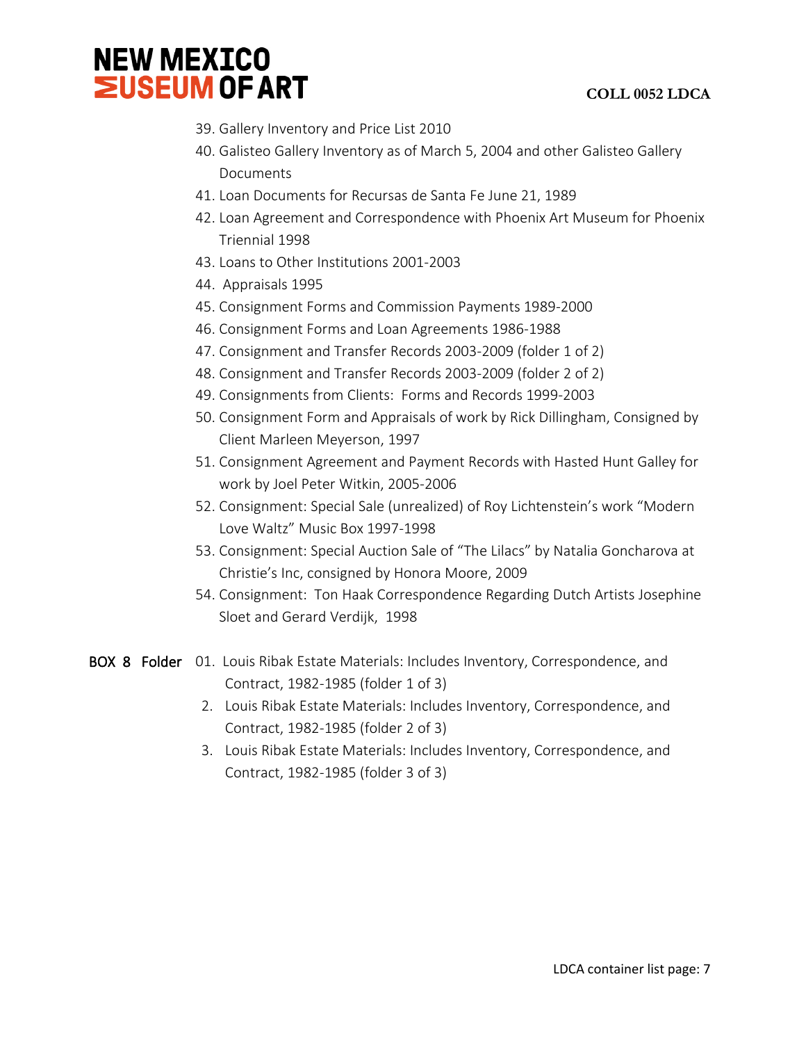

- 39. Gallery Inventory and Price List 2010
- 40. Galisteo Gallery Inventory as of March 5, 2004 and other Galisteo Gallery Documents
- 41. Loan Documents for Recursas de Santa Fe June 21, 1989
- 42. Loan Agreement and Correspondence with Phoenix Art Museum for Phoenix Triennial 1998
- 43. Loans to Other Institutions 2001-2003
- 44. Appraisals 1995
- 45. Consignment Forms and Commission Payments 1989-2000
- 46. Consignment Forms and Loan Agreements 1986-1988
- 47. Consignment and Transfer Records 2003-2009 (folder 1 of 2)
- 48. Consignment and Transfer Records 2003-2009 (folder 2 of 2)
- 49. Consignments from Clients: Forms and Records 1999-2003
- 50. Consignment Form and Appraisals of work by Rick Dillingham, Consigned by Client Marleen Meyerson, 1997
- 51. Consignment Agreement and Payment Records with Hasted Hunt Galley for work by Joel Peter Witkin, 2005-2006
- 52. Consignment: Special Sale (unrealized) of Roy Lichtenstein's work "Modern Love Waltz" Music Box 1997-1998
- 53. Consignment: Special Auction Sale of "The Lilacs" by Natalia Goncharova at Christie's Inc, consigned by Honora Moore, 2009
- 54. Consignment: Ton Haak Correspondence Regarding Dutch Artists Josephine Sloet and Gerard Verdijk, 1998
- BOX 8 Folder 01. Louis Ribak Estate Materials: Includes Inventory, Correspondence, and Contract, 1982-1985 (folder 1 of 3)
	- 2. Louis Ribak Estate Materials: Includes Inventory, Correspondence, and Contract, 1982-1985 (folder 2 of 3)
	- 3. Louis Ribak Estate Materials: Includes Inventory, Correspondence, and Contract, 1982-1985 (folder 3 of 3)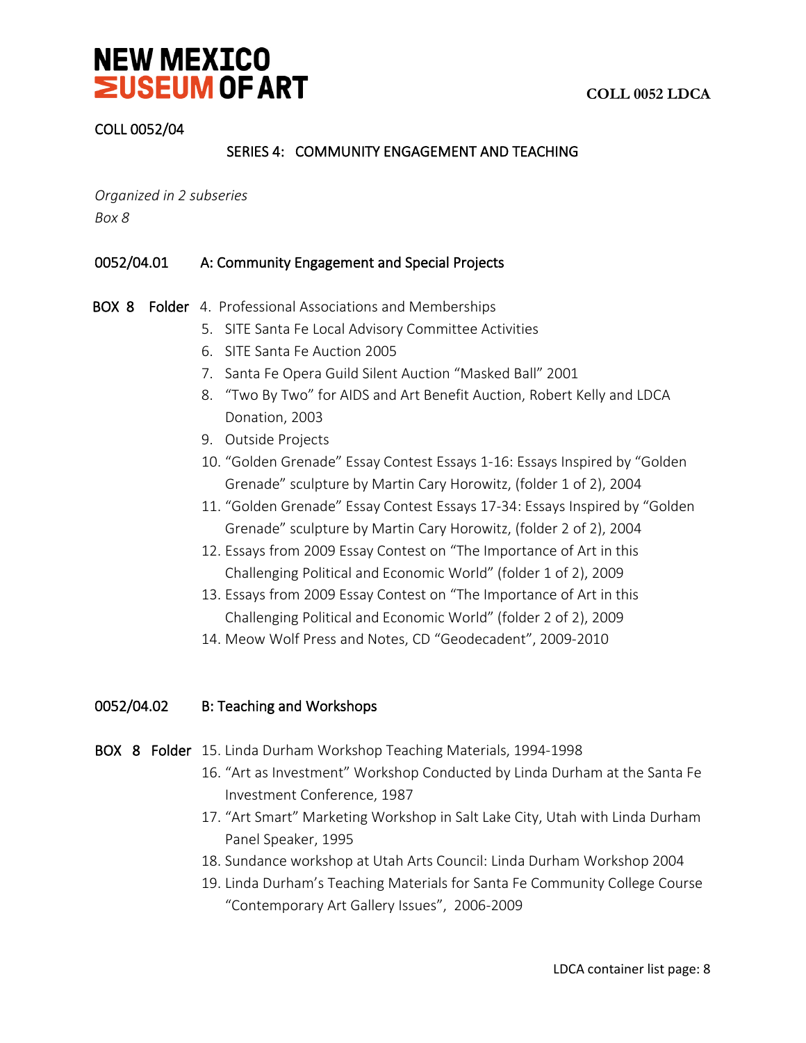

### COLL 0052/04

# SERIES 4: COMMUNITY ENGAGEMENT AND TEACHING

*Organized in 2 subseries Box 8*

#### 0052/04.01 A: Community Engagement and Special Projects

- BOX 8 Folder 4. Professional Associations and Memberships
	- 5. SITE Santa Fe Local Advisory Committee Activities
	- 6. SITE Santa Fe Auction 2005
	- 7. Santa Fe Opera Guild Silent Auction "Masked Ball" 2001
	- 8. "Two By Two" for AIDS and Art Benefit Auction, Robert Kelly and LDCA Donation, 2003
	- 9. Outside Projects
	- 10. "Golden Grenade" Essay Contest Essays 1-16: Essays Inspired by "Golden Grenade" sculpture by Martin Cary Horowitz, (folder 1 of 2), 2004
	- 11. "Golden Grenade" Essay Contest Essays 17-34: Essays Inspired by "Golden Grenade" sculpture by Martin Cary Horowitz, (folder 2 of 2), 2004
	- 12. Essays from 2009 Essay Contest on "The Importance of Art in this Challenging Political and Economic World" (folder 1 of 2), 2009
	- 13. Essays from 2009 Essay Contest on "The Importance of Art in this Challenging Political and Economic World" (folder 2 of 2), 2009
	- 14. Meow Wolf Press and Notes, CD "Geodecadent", 2009-2010

# 0052/04.02 B: Teaching and Workshops

- BOX 8 Folder 15. Linda Durham Workshop Teaching Materials, 1994-1998
	- 16. "Art as Investment" Workshop Conducted by Linda Durham at the Santa Fe Investment Conference, 1987
	- 17. "Art Smart" Marketing Workshop in Salt Lake City, Utah with Linda Durham Panel Speaker, 1995
	- 18. Sundance workshop at Utah Arts Council: Linda Durham Workshop 2004
	- 19. Linda Durham's Teaching Materials for Santa Fe Community College Course "Contemporary Art Gallery Issues", 2006-2009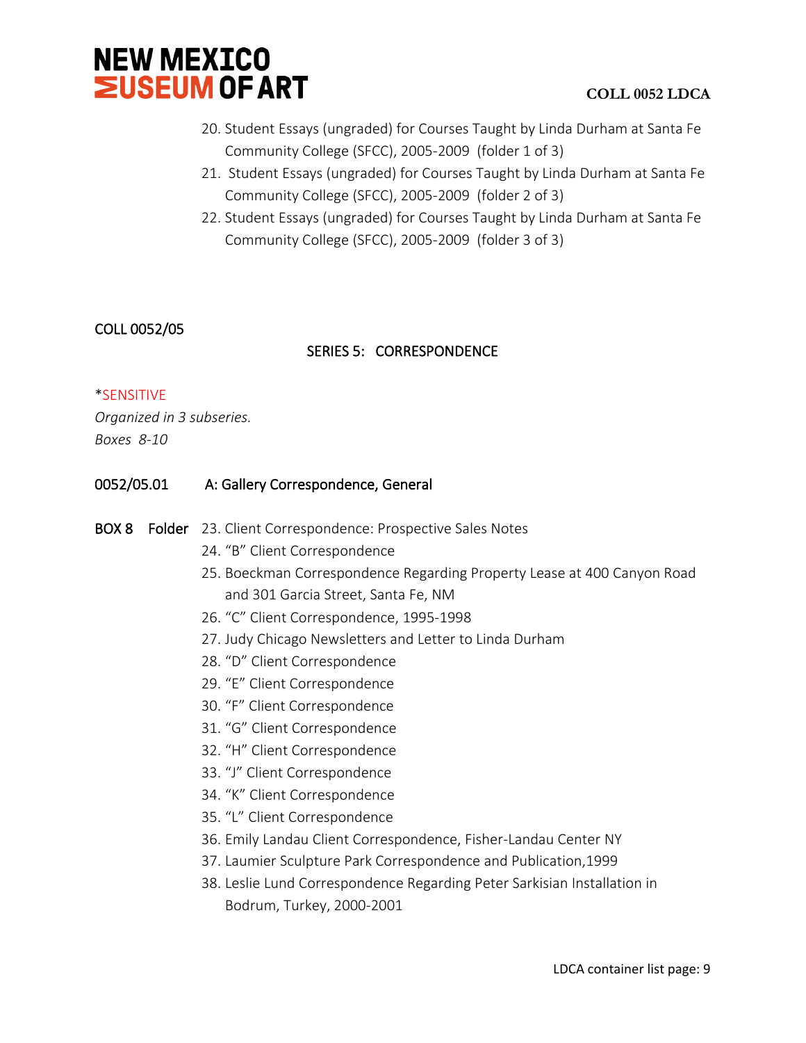

- 20. Student Essays (ungraded) for Courses Taught by Linda Durham at Santa Fe Community College (SFCC), 2005-2009 (folder 1 of 3)
- 21. Student Essays (ungraded) for Courses Taught by Linda Durham at Santa Fe Community College (SFCC), 2005-2009 (folder 2 of 3)
- 22. Student Essays (ungraded) for Courses Taught by Linda Durham at Santa Fe Community College (SFCC), 2005-2009 (folder 3 of 3)

# COLL 0052/05

# SERIES 5: CORRESPONDENCE

# \*SENSITIVE

*Organized in 3 subseries. Boxes 8-10*

### 0052/05.01 A: Gallery Correspondence, General

#### BOX 8 Folder 23. Client Correspondence: Prospective Sales Notes

- 24. "B" Client Correspondence
- 25. Boeckman Correspondence Regarding Property Lease at 400 Canyon Road and 301 Garcia Street, Santa Fe, NM
- 26. "C" Client Correspondence, 1995-1998
- 27. Judy Chicago Newsletters and Letter to Linda Durham
- 28. "D" Client Correspondence
- 29. "E" Client Correspondence
- 30. "F" Client Correspondence
- 31. "G" Client Correspondence
- 32. "H" Client Correspondence
- 33. "J" Client Correspondence
- 34. "K" Client Correspondence
- 35. "L" Client Correspondence
- 36. Emily Landau Client Correspondence, Fisher-Landau Center NY
- 37. Laumier Sculpture Park Correspondence and Publication,1999
- 38. Leslie Lund Correspondence Regarding Peter Sarkisian Installation in Bodrum, Turkey, 2000-2001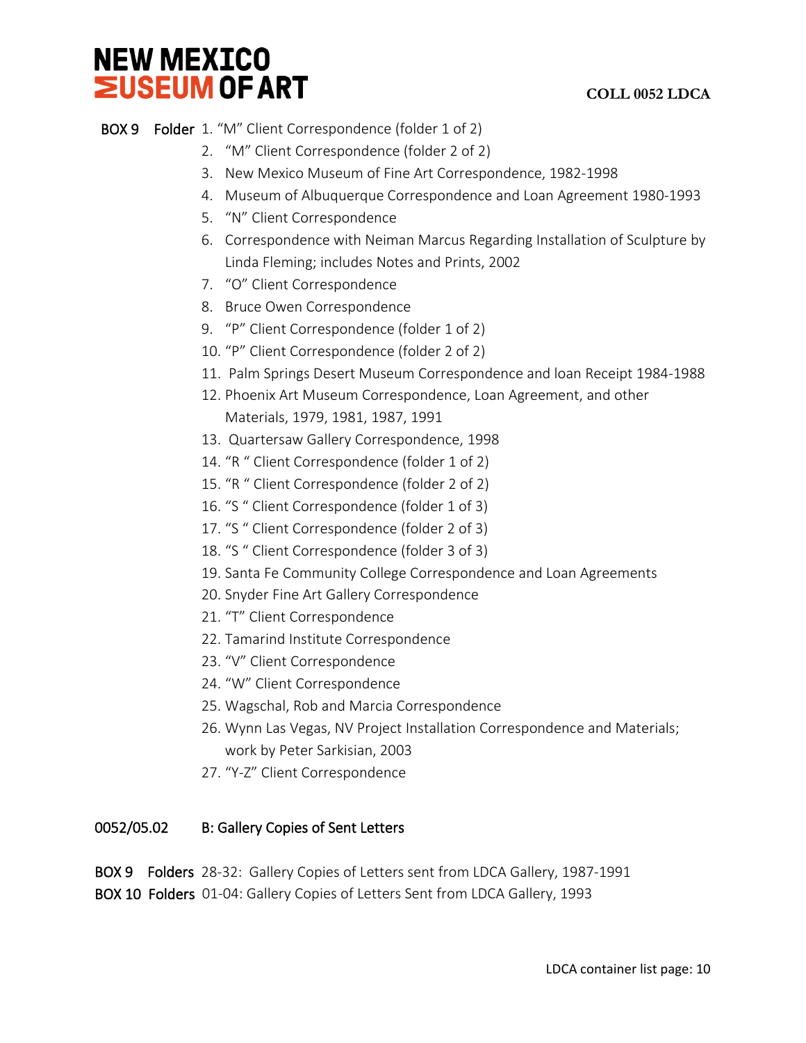# **COLL 0052 LDCA**

# BOX 9 Folder 1. "M" Client Correspondence (folder 1 of 2)

- 2. "M" Client Correspondence (folder 2 of 2)
- 3. New Mexico Museum of Fine Art Correspondence, 1982-1998
- 4. Museum of Albuquerque Correspondence and Loan Agreement 1980-1993
- 5. "N" Client Correspondence
- 6. Correspondence with Neiman Marcus Regarding Installation of Sculpture by Linda Fleming; includes Notes and Prints, 2002
- 7. "O" Client Correspondence
- 8. Bruce Owen Correspondence
- 9. "P" Client Correspondence (folder 1 of 2)
- 10. "P" Client Correspondence (folder 2 of 2)
- 11. Palm Springs Desert Museum Correspondence and loan Receipt 1984-1988
- 12. Phoenix Art Museum Correspondence, Loan Agreement, and other Materials, 1979, 1981, 1987, 1991
- 13. Quartersaw Gallery Correspondence, 1998
- 14. "R " Client Correspondence (folder 1 of 2)
- 15. "R " Client Correspondence (folder 2 of 2)
- 16. "S " Client Correspondence (folder 1 of 3)
- 17. "S " Client Correspondence (folder 2 of 3)
- 18. "S " Client Correspondence (folder 3 of 3)
- 19. Santa Fe Community College Correspondence and Loan Agreements
- 20. Snyder Fine Art Gallery Correspondence
- 21. "T" Client Correspondence
- 22. Tamarind Institute Correspondence
- 23. "V" Client Correspondence
- 24. "W" Client Correspondence
- 25. Wagschal, Rob and Marcia Correspondence
- 26. Wynn Las Vegas, NV Project Installation Correspondence and Materials; work by Peter Sarkisian, 2003
- 27. "Y-Z" Client Correspondence

# 0052/05.02 B: Gallery Copies of Sent Letters

BOX 9 Folders 28-32: Gallery Copies of Letters sent from LDCA Gallery, 1987-1991 BOX 10 Folders 01-04: Gallery Copies of Letters Sent from LDCA Gallery, 1993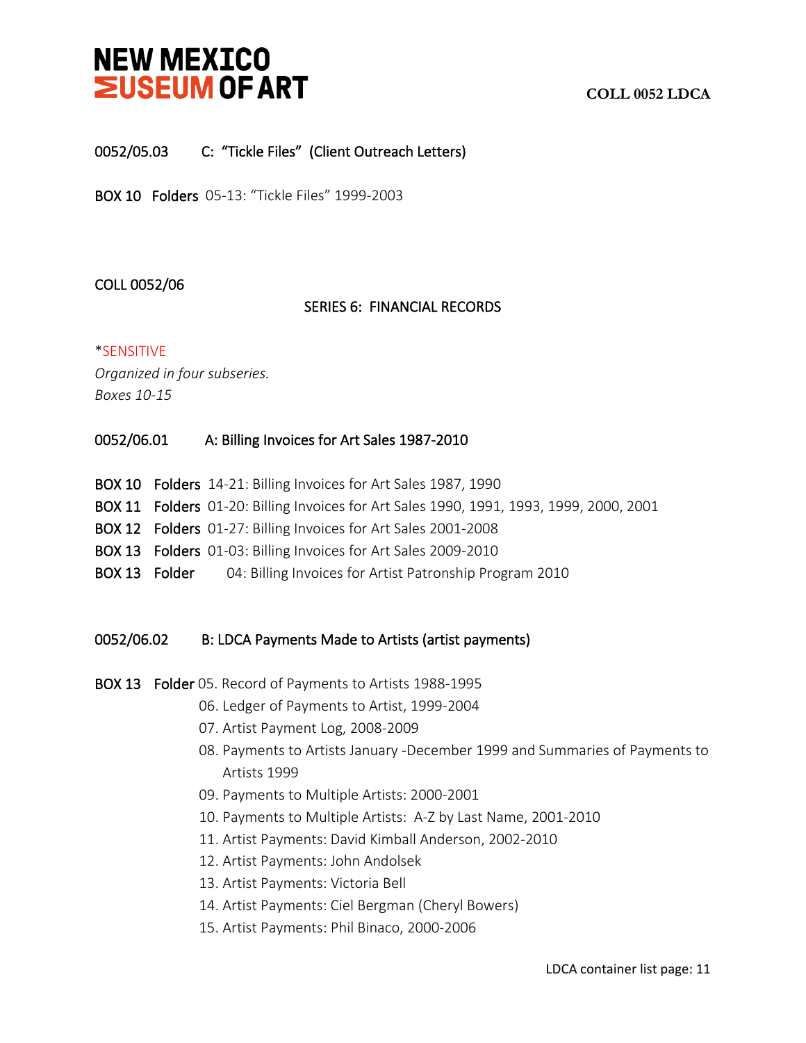# **COLL 0052 LDCA**

# 0052/05.03 C: "Tickle Files" (Client Outreach Letters)

BOX 10 Folders 05-13: "Tickle Files" 1999-2003

### COLL 0052/06

#### SERIES 6: FINANCIAL RECORDS

#### \*SENSITIVE

*Organized in four subseries. Boxes 10-15*

#### 0052/06.01 A: Billing Invoices for Art Sales 1987-2010

- BOX 10 Folders 14-21: Billing Invoices for Art Sales 1987, 1990
- BOX 11 Folders 01-20: Billing Invoices for Art Sales 1990, 1991, 1993, 1999, 2000, 2001
- BOX 12 Folders 01-27: Billing Invoices for Art Sales 2001-2008
- BOX 13 Folders 01-03: Billing Invoices for Art Sales 2009-2010
- BOX 13 Folder 04: Billing Invoices for Artist Patronship Program 2010

# 0052/06.02 B: LDCA Payments Made to Artists (artist payments)

BOX 13 Folder 05. Record of Payments to Artists 1988-1995

- 06. Ledger of Payments to Artist, 1999-2004
- 07. Artist Payment Log, 2008-2009
- 08. Payments to Artists January -December 1999 and Summaries of Payments to Artists 1999
- 09. Payments to Multiple Artists: 2000-2001
- 10. Payments to Multiple Artists: A-Z by Last Name, 2001-2010
- 11. Artist Payments: David Kimball Anderson, 2002-2010
- 12. Artist Payments: John Andolsek
- 13. Artist Payments: Victoria Bell
- 14. Artist Payments: Ciel Bergman (Cheryl Bowers)
- 15. Artist Payments: Phil Binaco, 2000-2006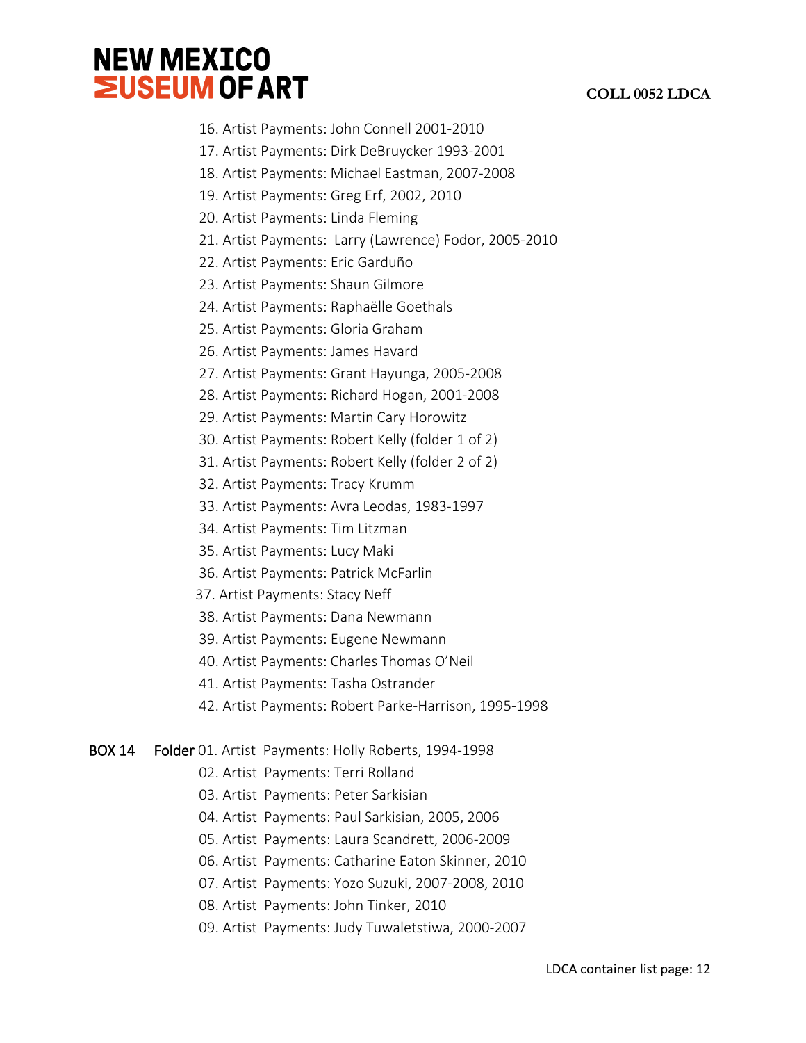# **COLL 0052 LDCA**

- 16. Artist Payments: John Connell 2001-2010
- 17. Artist Payments: Dirk DeBruycker 1993-2001
- 18. Artist Payments: Michael Eastman, 2007-2008
- 19. Artist Payments: Greg Erf, 2002, 2010
- 20. Artist Payments: Linda Fleming
- 21. Artist Payments: Larry (Lawrence) Fodor, 2005-2010
- 22. Artist Payments: Eric Garduño
- 23. Artist Payments: Shaun Gilmore
- 24. Artist Payments: Raphaëlle Goethals
- 25. Artist Payments: Gloria Graham
- 26. Artist Payments: James Havard
- 27. Artist Payments: Grant Hayunga, 2005-2008
- 28. Artist Payments: Richard Hogan, 2001-2008
- 29. Artist Payments: Martin Cary Horowitz
- 30. Artist Payments: Robert Kelly (folder 1 of 2)
- 31. Artist Payments: Robert Kelly (folder 2 of 2)
- 32. Artist Payments: Tracy Krumm
- 33. Artist Payments: Avra Leodas, 1983-1997
- 34. Artist Payments: Tim Litzman
- 35. Artist Payments: Lucy Maki
- 36. Artist Payments: Patrick McFarlin
- 37. Artist Payments: Stacy Neff
- 38. Artist Payments: Dana Newmann
- 39. Artist Payments: Eugene Newmann
- 40. Artist Payments: Charles Thomas O'Neil
- 41. Artist Payments: Tasha Ostrander
- 42. Artist Payments: Robert Parke-Harrison, 1995-1998
- BOX 14 Folder 01. Artist Payments: Holly Roberts, 1994-1998
	- 02. Artist Payments: Terri Rolland
	- 03. Artist Payments: Peter Sarkisian
	- 04. Artist Payments: Paul Sarkisian, 2005, 2006
	- 05. Artist Payments: Laura Scandrett, 2006-2009
	- 06. Artist Payments: Catharine Eaton Skinner, 2010
	- 07. Artist Payments: Yozo Suzuki, 2007-2008, 2010
	- 08. Artist Payments: John Tinker, 2010
	- 09. Artist Payments: Judy Tuwaletstiwa, 2000-2007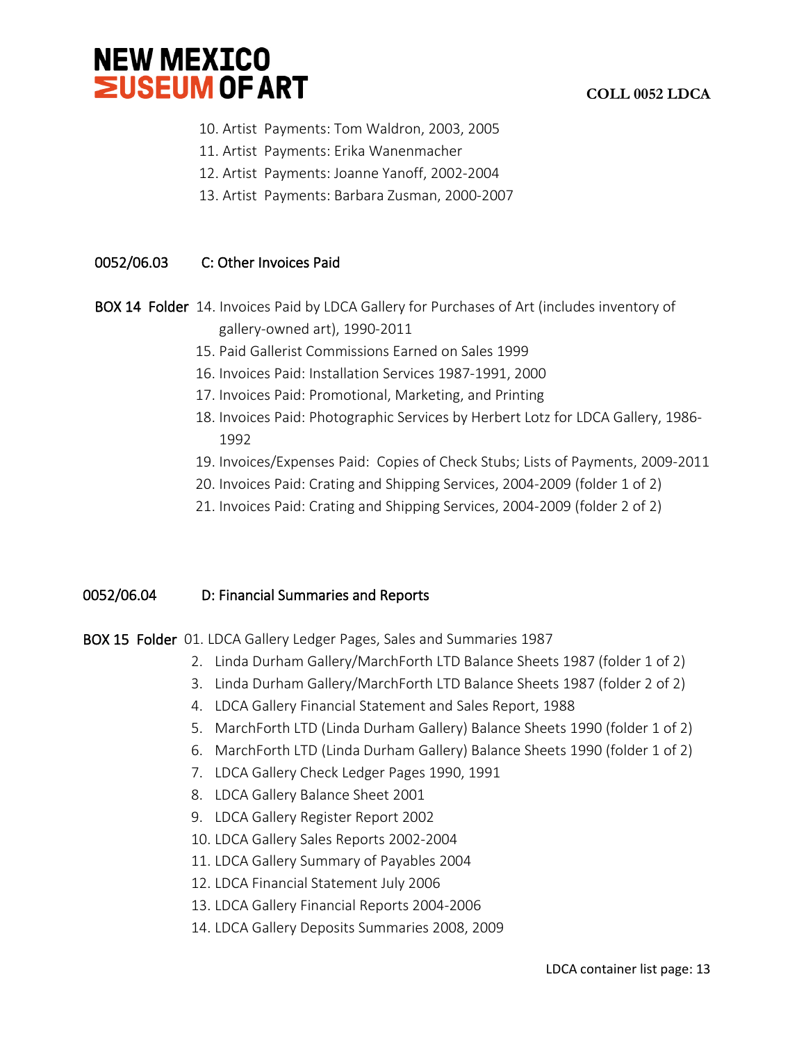

- 10. Artist Payments: Tom Waldron, 2003, 2005
- 11. Artist Payments: Erika Wanenmacher
- 12. Artist Payments: Joanne Yanoff, 2002-2004
- 13. Artist Payments: Barbara Zusman, 2000-2007

# 0052/06.03 C: Other Invoices Paid

- BOX 14 Folder 14. Invoices Paid by LDCA Gallery for Purchases of Art (includes inventory of gallery-owned art), 1990-2011
	- 15. Paid Gallerist Commissions Earned on Sales 1999
	- 16. Invoices Paid: Installation Services 1987-1991, 2000
	- 17. Invoices Paid: Promotional, Marketing, and Printing
	- 18. Invoices Paid: Photographic Services by Herbert Lotz for LDCA Gallery, 1986- 1992
	- 19. Invoices/Expenses Paid: Copies of Check Stubs; Lists of Payments, 2009-2011
	- 20. Invoices Paid: Crating and Shipping Services, 2004-2009 (folder 1 of 2)
	- 21. Invoices Paid: Crating and Shipping Services, 2004-2009 (folder 2 of 2)

# 0052/06.04 D: Financial Summaries and Reports

- BOX 15 Folder 01. LDCA Gallery Ledger Pages, Sales and Summaries 1987
	- 2. Linda Durham Gallery/MarchForth LTD Balance Sheets 1987 (folder 1 of 2)
	- 3. Linda Durham Gallery/MarchForth LTD Balance Sheets 1987 (folder 2 of 2)
	- 4. LDCA Gallery Financial Statement and Sales Report, 1988
	- 5. MarchForth LTD (Linda Durham Gallery) Balance Sheets 1990 (folder 1 of 2)
	- 6. MarchForth LTD (Linda Durham Gallery) Balance Sheets 1990 (folder 1 of 2)
	- 7. LDCA Gallery Check Ledger Pages 1990, 1991
	- 8. LDCA Gallery Balance Sheet 2001
	- 9. LDCA Gallery Register Report 2002
	- 10. LDCA Gallery Sales Reports 2002-2004
	- 11. LDCA Gallery Summary of Payables 2004
	- 12. LDCA Financial Statement July 2006
	- 13. LDCA Gallery Financial Reports 2004-2006
	- 14. LDCA Gallery Deposits Summaries 2008, 2009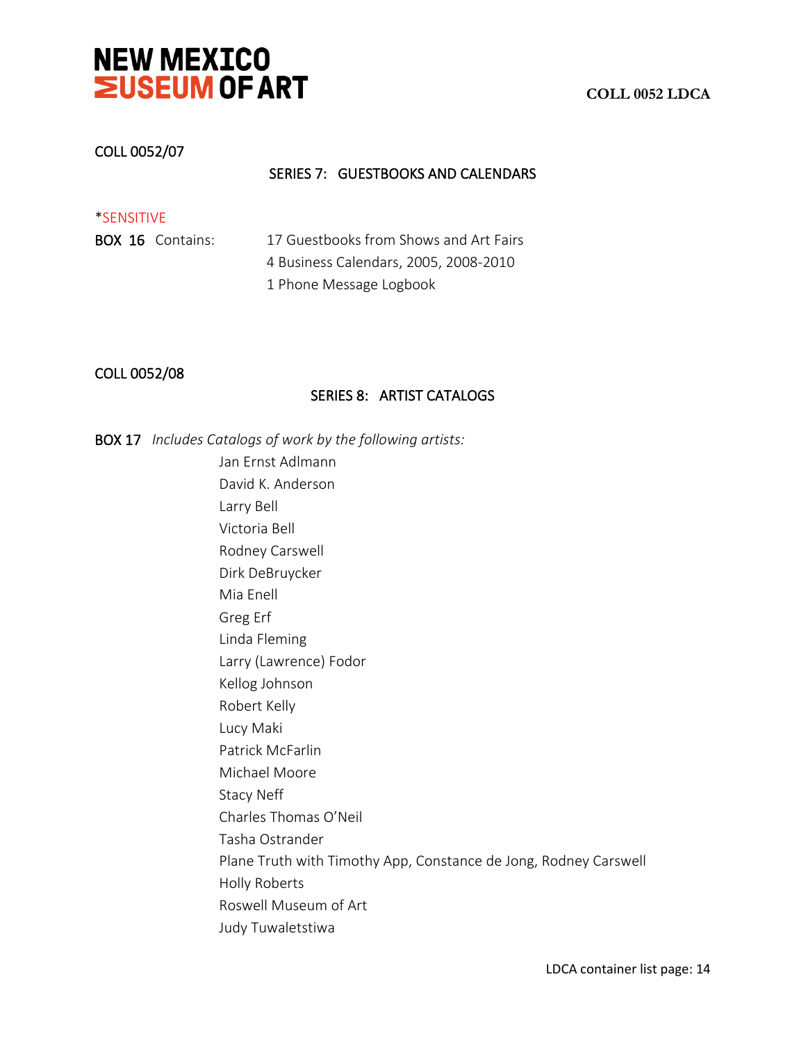

#### COLL 0052/07

### SERIES 7: GUESTBOOKS AND CALENDARS

| *SENSITIVE              |                                        |
|-------------------------|----------------------------------------|
| <b>BOX 16 Contains:</b> | 17 Guestbooks from Shows and Art Fairs |
|                         | 4 Business Calendars, 2005, 2008-2010  |
|                         | 1 Phone Message Logbook                |

#### COLL 0052/08

#### SERIES 8: ARTIST CATALOGS

BOX 17 *Includes Catalogs of work by the following artists:* 

Jan Ernst Adlmann David K. Anderson Larry Bell Victoria Bell Rodney Carswell Dirk DeBruycker Mia Enell Greg Erf Linda Fleming Larry (Lawrence) Fodor Kellog Johnson Robert Kelly Lucy Maki Patrick McFarlin Michael Moore Stacy Neff Charles Thomas O'Neil Tasha Ostrander Plane Truth with Timothy App, Constance de Jong, Rodney Carswell Holly Roberts Roswell Museum of Art Judy Tuwaletstiwa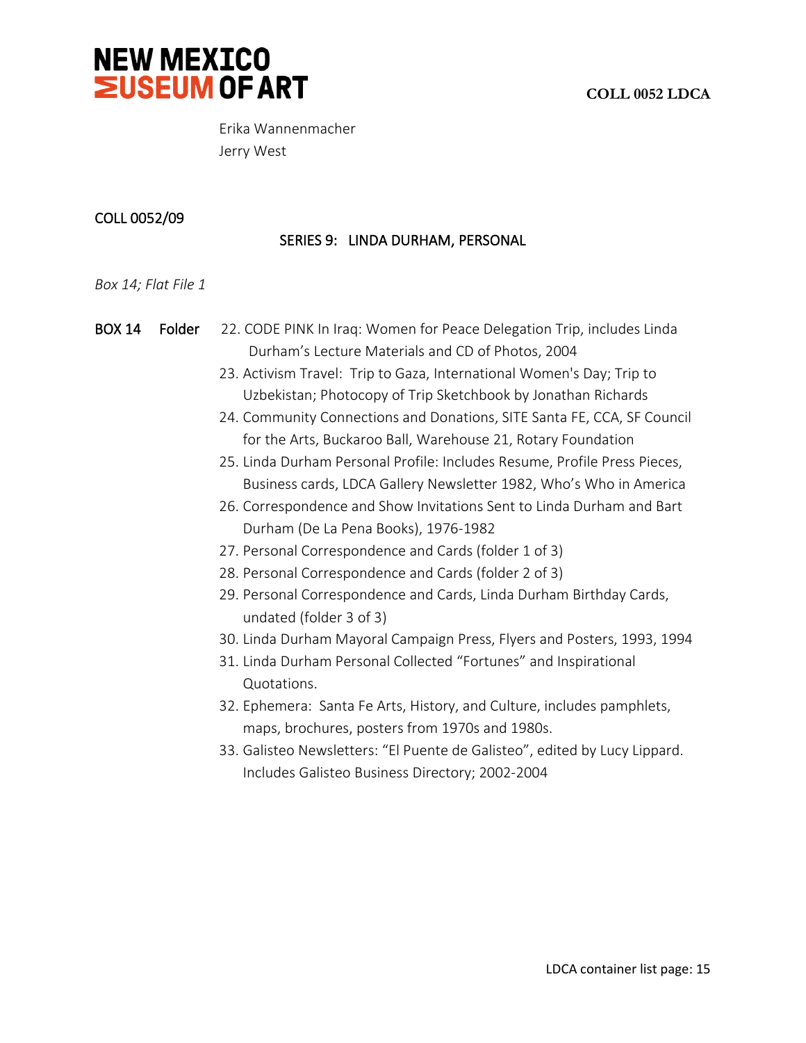



Erika Wannenmacher Jerry West

### COLL 0052/09

# SERIES 9: LINDA DURHAM, PERSONAL

#### *Box 14; Flat File 1*

BOX 14 Folder 22. CODE PINK In Iraq: Women for Peace Delegation Trip, includes Linda Durham's Lecture Materials and CD of Photos, 2004

- 23. Activism Travel: Trip to Gaza, International Women's Day; Trip to Uzbekistan; Photocopy of Trip Sketchbook by Jonathan Richards
- 24. Community Connections and Donations, SITE Santa FE, CCA, SF Council for the Arts, Buckaroo Ball, Warehouse 21, Rotary Foundation
- 25. Linda Durham Personal Profile: Includes Resume, Profile Press Pieces, Business cards, LDCA Gallery Newsletter 1982, Who's Who in America
- 26. Correspondence and Show Invitations Sent to Linda Durham and Bart Durham (De La Pena Books), 1976-1982
- 27. Personal Correspondence and Cards (folder 1 of 3)
- 28. Personal Correspondence and Cards (folder 2 of 3)
- 29. Personal Correspondence and Cards, Linda Durham Birthday Cards, undated (folder 3 of 3)
- 30. Linda Durham Mayoral Campaign Press, Flyers and Posters, 1993, 1994
- 31. Linda Durham Personal Collected "Fortunes" and Inspirational Quotations.
- 32. Ephemera: Santa Fe Arts, History, and Culture, includes pamphlets, maps, brochures, posters from 1970s and 1980s.
- 33. Galisteo Newsletters: "El Puente de Galisteo", edited by Lucy Lippard. Includes Galisteo Business Directory; 2002-2004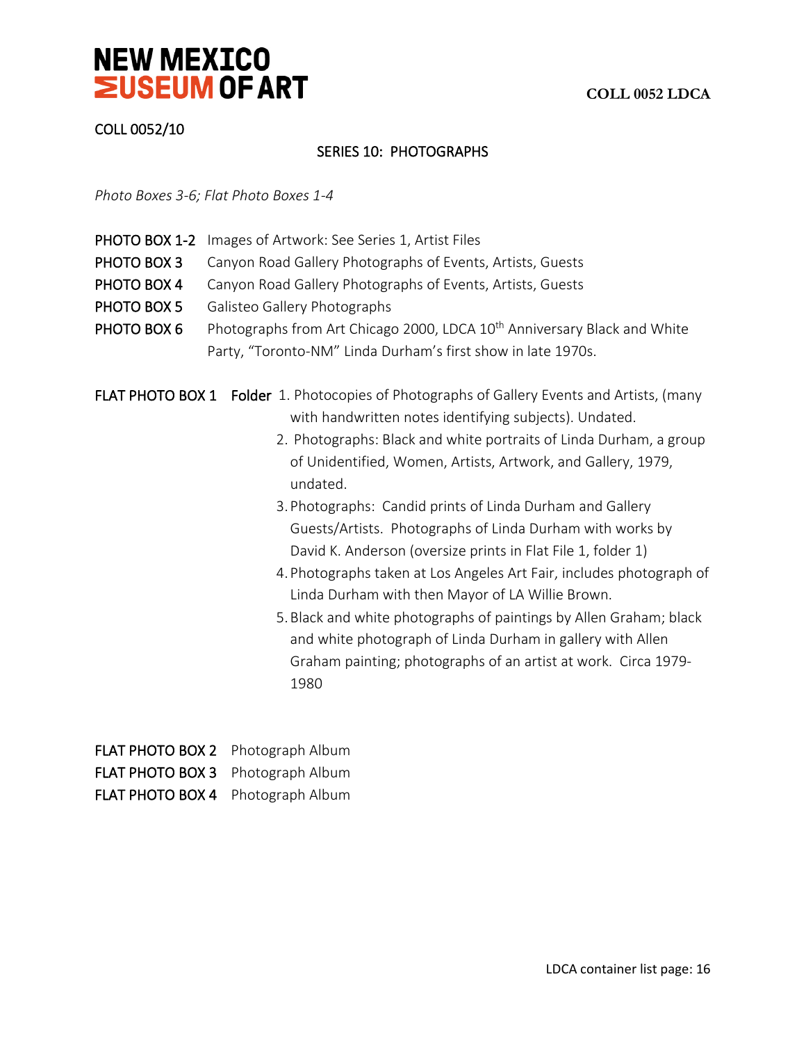

# COLL 0052/10

### SERIES 10: PHOTOGRAPHS

*Photo Boxes 3-6; Flat Photo Boxes 1-4*

- PHOTO BOX 1-2 Images of Artwork: See Series 1, Artist Files
- PHOTO BOX 3 Canyon Road Gallery Photographs of Events, Artists, Guests
- PHOTO BOX 4 Canyon Road Gallery Photographs of Events, Artists, Guests
- PHOTO BOX 5 Galisteo Gallery Photographs
- PHOTO BOX 6 Photographs from Art Chicago 2000, LDCA 10<sup>th</sup> Anniversary Black and White Party, "Toronto-NM" Linda Durham's first show in late 1970s.

FLAT PHOTO BOX 1 Folder 1. Photocopies of Photographs of Gallery Events and Artists, (many with handwritten notes identifying subjects). Undated.

- 2. Photographs: Black and white portraits of Linda Durham, a group of Unidentified, Women, Artists, Artwork, and Gallery, 1979, undated.
- 3.Photographs: Candid prints of Linda Durham and Gallery Guests/Artists. Photographs of Linda Durham with works by David K. Anderson (oversize prints in Flat File 1, folder 1)
- 4.Photographs taken at Los Angeles Art Fair, includes photograph of Linda Durham with then Mayor of LA Willie Brown.
- 5.Black and white photographs of paintings by Allen Graham; black and white photograph of Linda Durham in gallery with Allen Graham painting; photographs of an artist at work. Circa 1979- 1980

| FLAT PHOTO BOX 2 Photograph Album |  |
|-----------------------------------|--|
| FLAT PHOTO BOX 3 Photograph Album |  |
| FLAT PHOTO BOX 4 Photograph Album |  |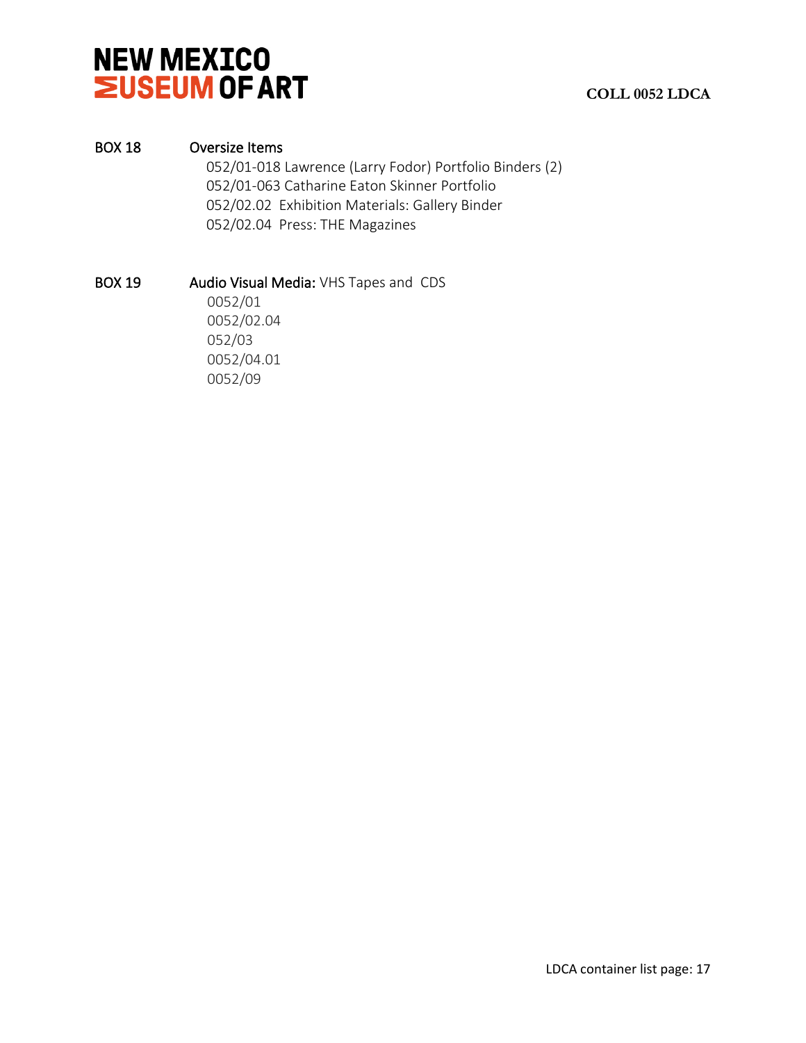

### BOX 18 Oversize Items

 052/01-018 Lawrence (Larry Fodor) Portfolio Binders (2) 052/01-063 Catharine Eaton Skinner Portfolio 052/02.02 Exhibition Materials: Gallery Binder 052/02.04 Press: THE Magazines

BOX 19 Audio Visual Media: VHS Tapes and CDS

0052/01 0052/02.04 052/03 0052/04.01 0052/09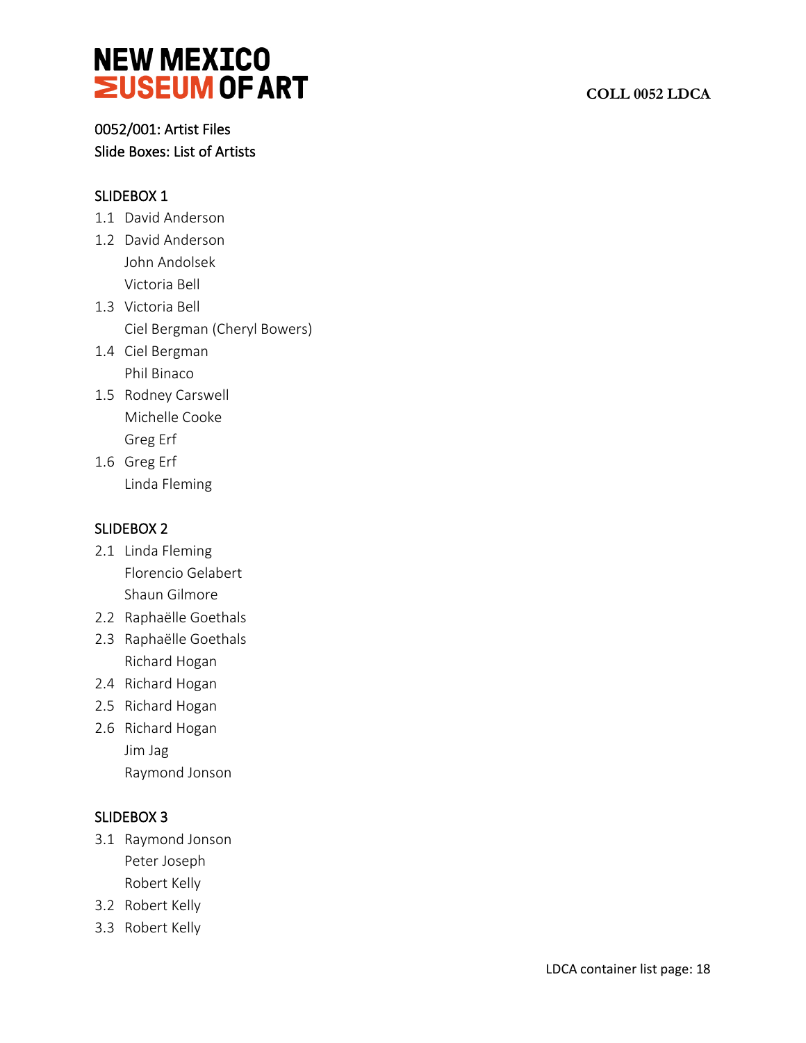# 0052/001: Artist Files Slide Boxes: List of Artists

# SLIDEBOX 1

- 1.1 David Anderson
- 1.2 David Anderson John Andolsek Victoria Bell
- 1.3 Victoria Bell Ciel Bergman (Cheryl Bowers)
- 1.4 Ciel Bergman Phil Binaco
- 1.5 Rodney Carswell Michelle Cooke Greg Erf
- 1.6 Greg Erf Linda Fleming

# SLIDEBOX 2

- 2.1 Linda Fleming Florencio Gelabert Shaun Gilmore
- 2.2 Raphaëlle Goethals
- 2.3 Raphaëlle Goethals Richard Hogan
- 2.4 Richard Hogan
- 2.5 Richard Hogan
- 2.6 Richard Hogan Jim Jag Raymond Jonson

# SLIDEBOX 3

- 3.1 Raymond Jonson Peter Joseph Robert Kelly
- 3.2 Robert Kelly
- 3.3 Robert Kelly